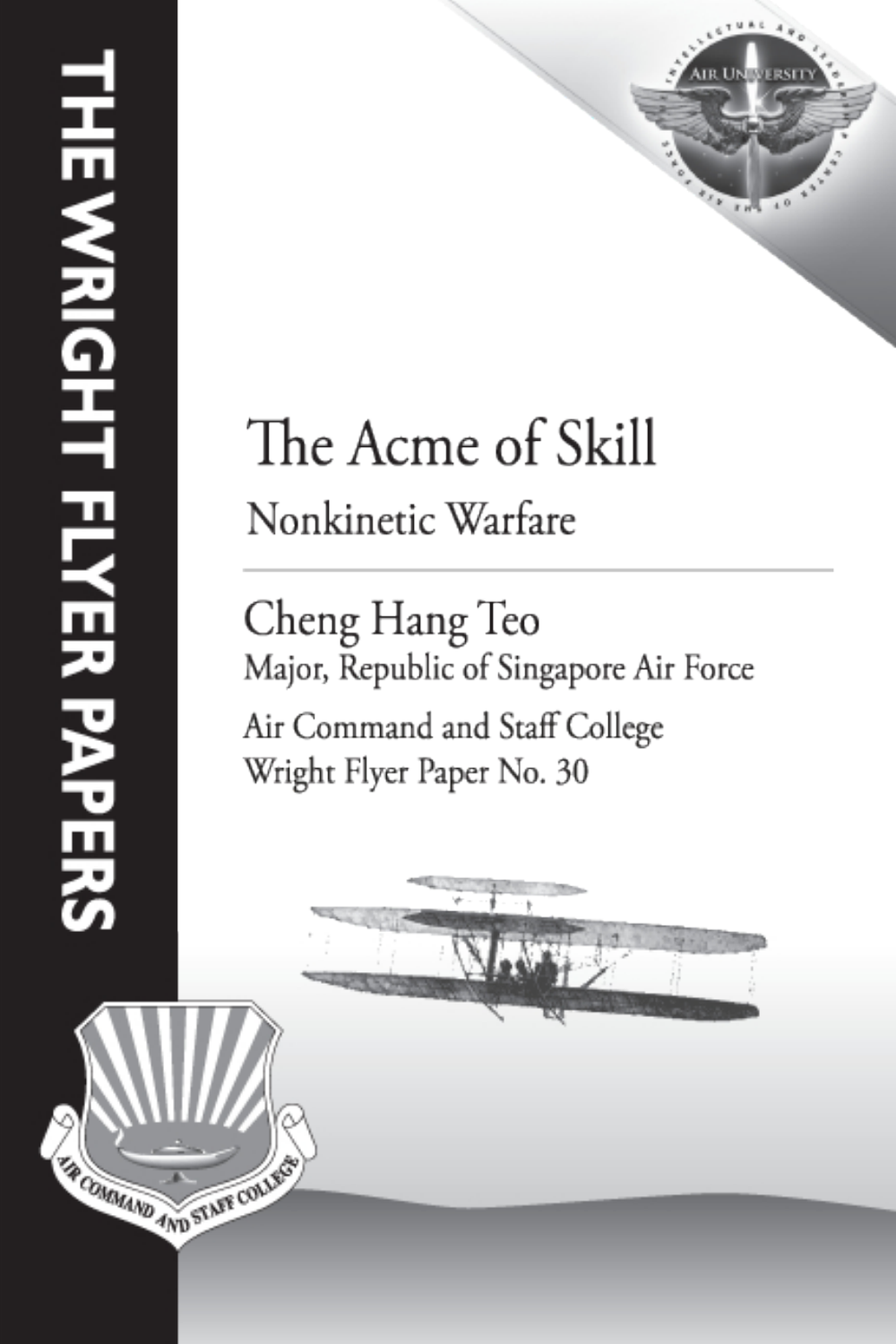**TA COMMAND AND STAFF COLLECT** 



# The Acme of Skill Nonkinetic Warfare

Cheng Hang Teo Major, Republic of Singapore Air Force Air Command and Staff College Wright Flyer Paper No. 30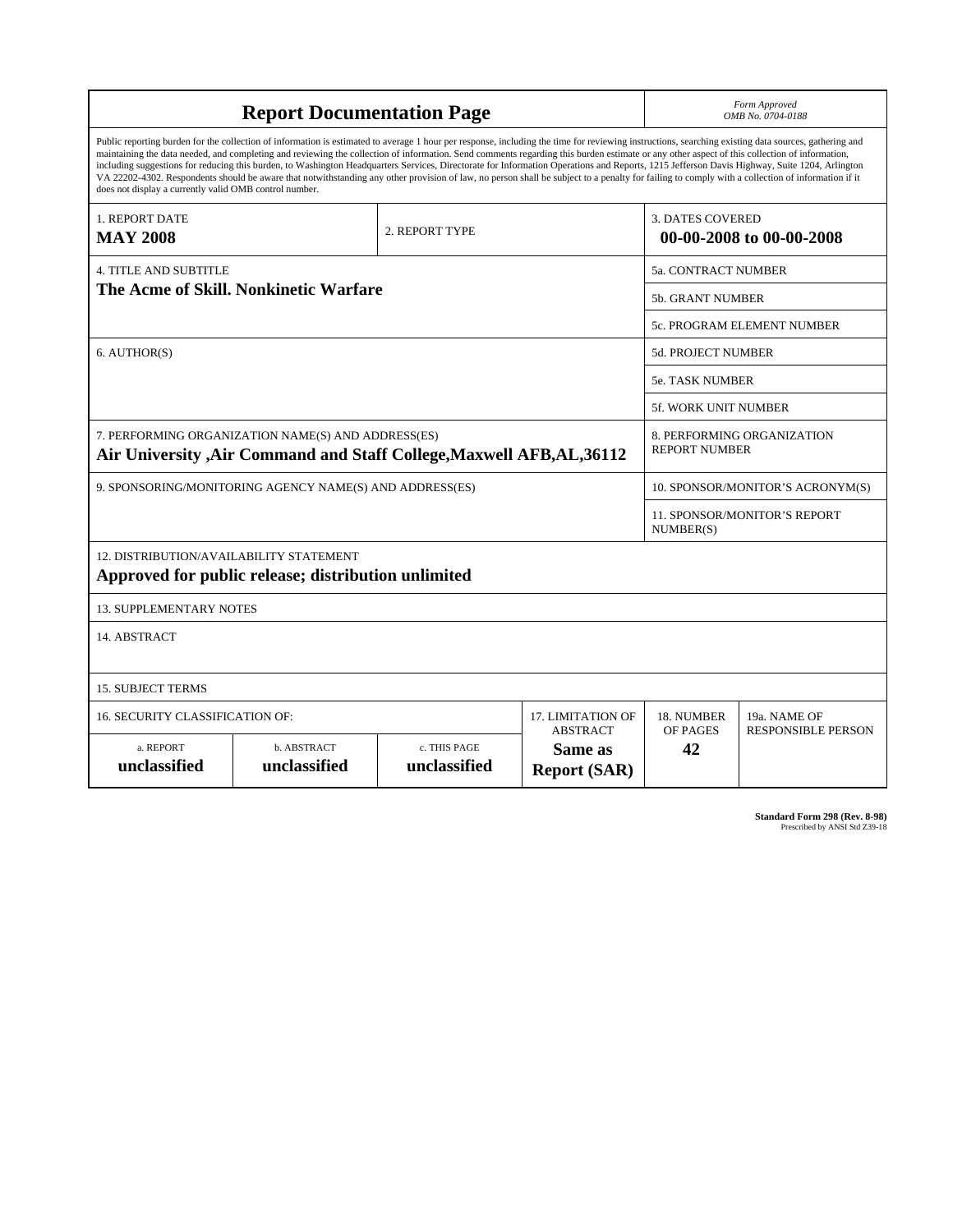| <b>Report Documentation Page</b>                                                                                                                                                                                                                                                                                                                                                                                                                                                                                                                                                                                                                                                                                                                                                                                                                                   |                             |                              |                                | Form Approved<br>OMB No. 0704-0188                  |                                           |
|--------------------------------------------------------------------------------------------------------------------------------------------------------------------------------------------------------------------------------------------------------------------------------------------------------------------------------------------------------------------------------------------------------------------------------------------------------------------------------------------------------------------------------------------------------------------------------------------------------------------------------------------------------------------------------------------------------------------------------------------------------------------------------------------------------------------------------------------------------------------|-----------------------------|------------------------------|--------------------------------|-----------------------------------------------------|-------------------------------------------|
| Public reporting burden for the collection of information is estimated to average 1 hour per response, including the time for reviewing instructions, searching existing data sources, gathering and<br>maintaining the data needed, and completing and reviewing the collection of information. Send comments regarding this burden estimate or any other aspect of this collection of information,<br>including suggestions for reducing this burden, to Washington Headquarters Services, Directorate for Information Operations and Reports, 1215 Jefferson Davis Highway, Suite 1204, Arlington<br>VA 22202-4302. Respondents should be aware that notwithstanding any other provision of law, no person shall be subject to a penalty for failing to comply with a collection of information if it<br>does not display a currently valid OMB control number. |                             |                              |                                |                                                     |                                           |
| 1. REPORT DATE<br><b>MAY 2008</b>                                                                                                                                                                                                                                                                                                                                                                                                                                                                                                                                                                                                                                                                                                                                                                                                                                  | 2. REPORT TYPE              |                              |                                | <b>3. DATES COVERED</b><br>00-00-2008 to 00-00-2008 |                                           |
| <b>4. TITLE AND SUBTITLE</b>                                                                                                                                                                                                                                                                                                                                                                                                                                                                                                                                                                                                                                                                                                                                                                                                                                       |                             |                              |                                | 5a. CONTRACT NUMBER                                 |                                           |
| The Acme of Skill. Nonkinetic Warfare                                                                                                                                                                                                                                                                                                                                                                                                                                                                                                                                                                                                                                                                                                                                                                                                                              |                             |                              |                                | <b>5b. GRANT NUMBER</b>                             |                                           |
|                                                                                                                                                                                                                                                                                                                                                                                                                                                                                                                                                                                                                                                                                                                                                                                                                                                                    |                             |                              |                                | 5c. PROGRAM ELEMENT NUMBER                          |                                           |
| 6. AUTHOR(S)                                                                                                                                                                                                                                                                                                                                                                                                                                                                                                                                                                                                                                                                                                                                                                                                                                                       |                             |                              |                                | <b>5d. PROJECT NUMBER</b>                           |                                           |
|                                                                                                                                                                                                                                                                                                                                                                                                                                                                                                                                                                                                                                                                                                                                                                                                                                                                    |                             |                              |                                | 5e. TASK NUMBER                                     |                                           |
|                                                                                                                                                                                                                                                                                                                                                                                                                                                                                                                                                                                                                                                                                                                                                                                                                                                                    |                             |                              |                                | <b>5f. WORK UNIT NUMBER</b>                         |                                           |
| 7. PERFORMING ORGANIZATION NAME(S) AND ADDRESS(ES)<br>Air University , Air Command and Staff College, Maxwell AFB, AL, 36112                                                                                                                                                                                                                                                                                                                                                                                                                                                                                                                                                                                                                                                                                                                                       |                             |                              |                                | 8. PERFORMING ORGANIZATION<br><b>REPORT NUMBER</b>  |                                           |
| 9. SPONSORING/MONITORING AGENCY NAME(S) AND ADDRESS(ES)                                                                                                                                                                                                                                                                                                                                                                                                                                                                                                                                                                                                                                                                                                                                                                                                            |                             |                              |                                | 10. SPONSOR/MONITOR'S ACRONYM(S)                    |                                           |
|                                                                                                                                                                                                                                                                                                                                                                                                                                                                                                                                                                                                                                                                                                                                                                                                                                                                    |                             |                              |                                | 11. SPONSOR/MONITOR'S REPORT<br>NUMBER(S)           |                                           |
| 12. DISTRIBUTION/AVAILABILITY STATEMENT<br>Approved for public release; distribution unlimited                                                                                                                                                                                                                                                                                                                                                                                                                                                                                                                                                                                                                                                                                                                                                                     |                             |                              |                                |                                                     |                                           |
| <b>13. SUPPLEMENTARY NOTES</b>                                                                                                                                                                                                                                                                                                                                                                                                                                                                                                                                                                                                                                                                                                                                                                                                                                     |                             |                              |                                |                                                     |                                           |
| 14. ABSTRACT                                                                                                                                                                                                                                                                                                                                                                                                                                                                                                                                                                                                                                                                                                                                                                                                                                                       |                             |                              |                                |                                                     |                                           |
| <b>15. SUBJECT TERMS</b>                                                                                                                                                                                                                                                                                                                                                                                                                                                                                                                                                                                                                                                                                                                                                                                                                                           |                             |                              |                                |                                                     |                                           |
| <b>16. SECURITY CLASSIFICATION OF:</b><br><b>17. LIMITATION OF</b><br><b>ABSTRACT</b>                                                                                                                                                                                                                                                                                                                                                                                                                                                                                                                                                                                                                                                                                                                                                                              |                             |                              |                                | 18. NUMBER<br>OF PAGES                              | 19a. NAME OF<br><b>RESPONSIBLE PERSON</b> |
| a. REPORT<br>unclassified                                                                                                                                                                                                                                                                                                                                                                                                                                                                                                                                                                                                                                                                                                                                                                                                                                          | b. ABSTRACT<br>unclassified | c. THIS PAGE<br>unclassified | Same as<br><b>Report (SAR)</b> | 42                                                  |                                           |

**Standard Form 298 (Rev. 8-98)**<br>Prescribed by ANSI Std Z39-18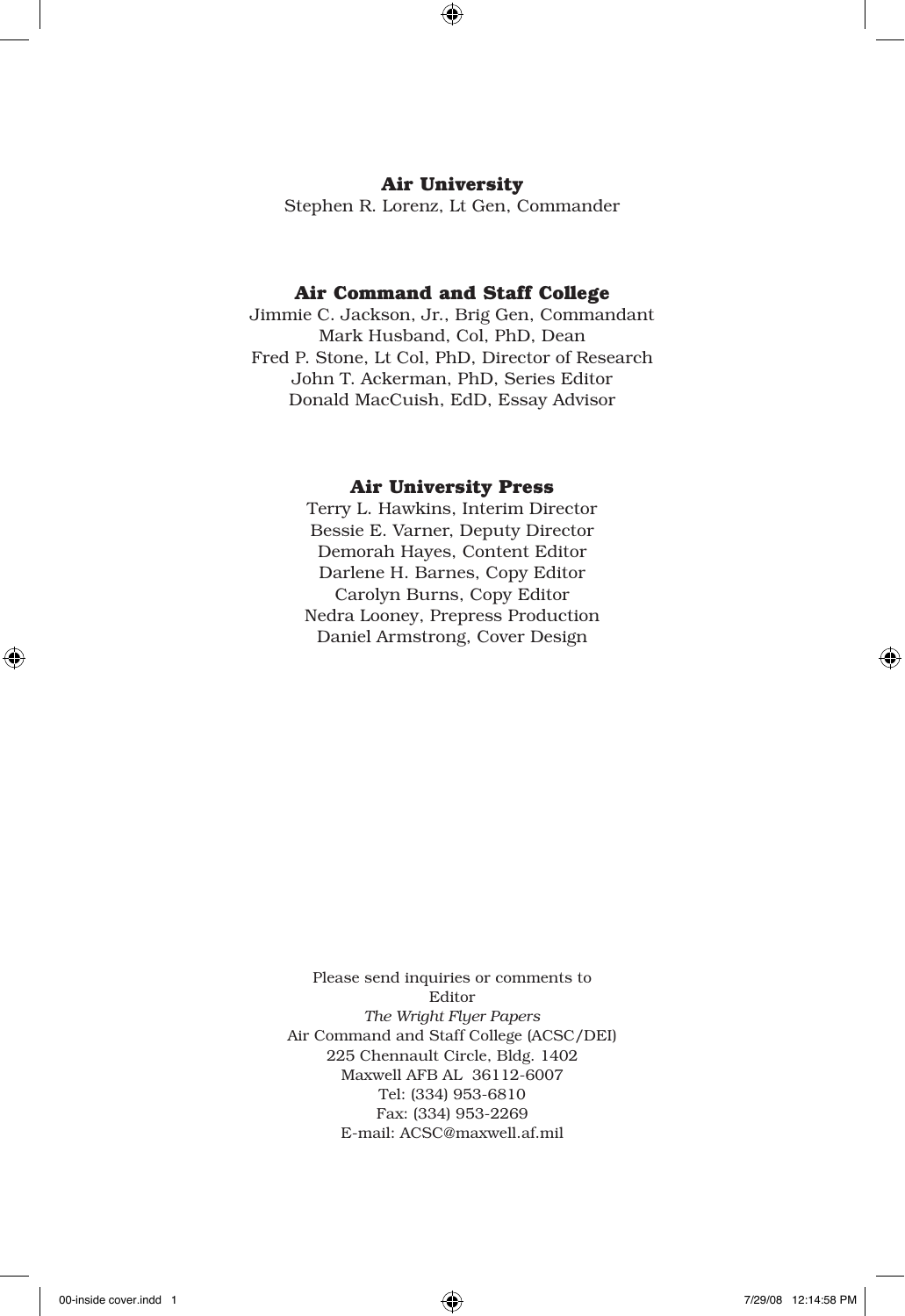#### **Air University**

Stephen R. Lorenz, Lt Gen, Commander

#### **Air Command and Staff College**

Jimmie C. Jackson, Jr., Brig Gen, Commandant Mark Husband, Col, PhD, Dean Fred P. Stone, Lt Col, PhD, Director of Research John T. Ackerman, PhD, Series Editor Donald MacCuish, EdD, Essay Advisor

#### **Air University Press**

Terry L. Hawkins, Interim Director Bessie E. Varner, Deputy Director Demorah Hayes, Content Editor Darlene H. Barnes, Copy Editor Carolyn Burns, Copy Editor Nedra Looney, Prepress Production Daniel Armstrong, Cover Design

Please send inquiries or comments to Editor *The Wright Flyer Papers* Air Command and Staff College (ACSC/DEI) 225 Chennault Circle, Bldg. 1402 Maxwell AFB AL 36112-6007 Tel: (334) 953-6810 Fax: (334) 953-2269 E-mail: ACSC@maxwell.af.mil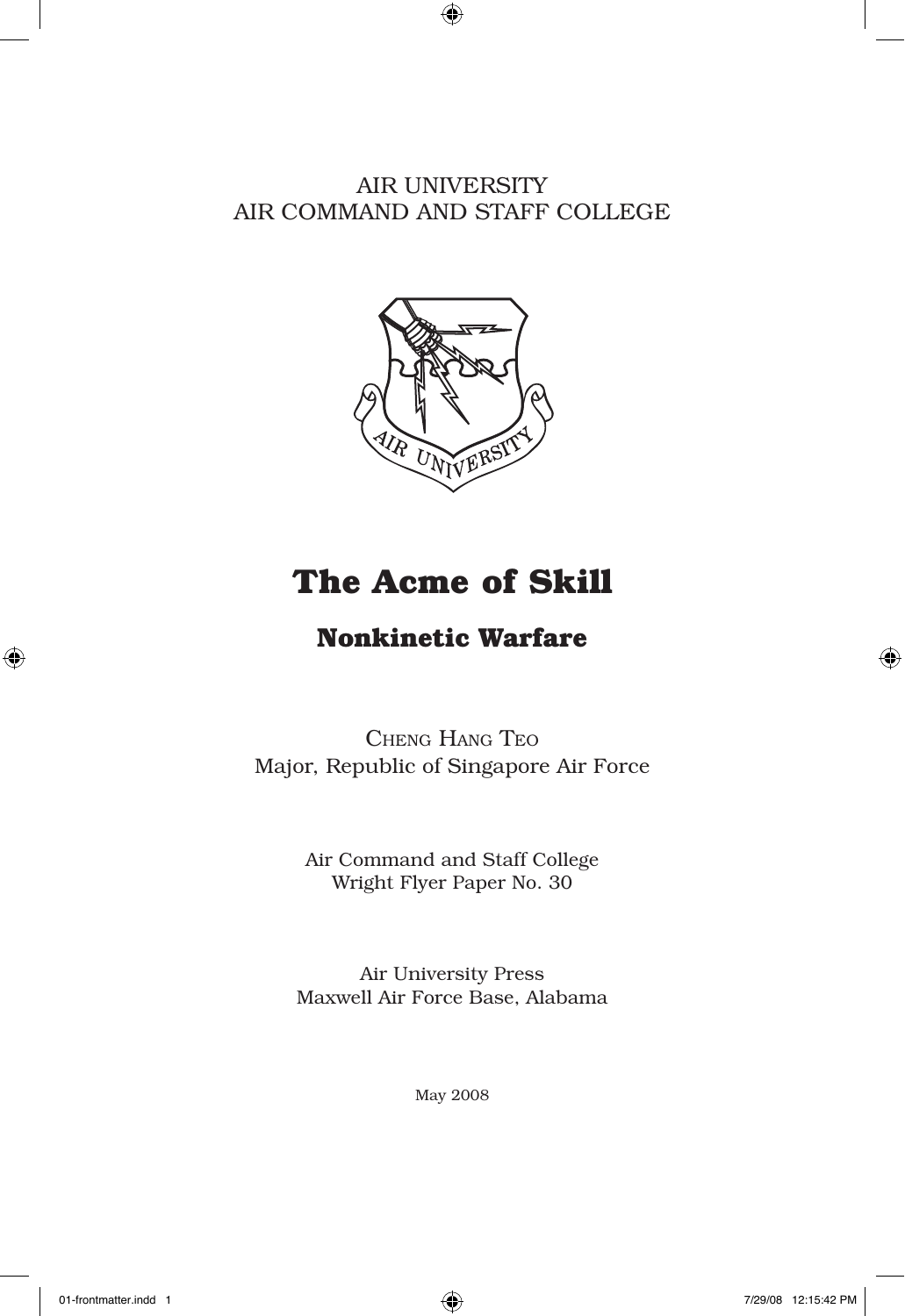AIR UNIVERSITY AIR COMMAND AND STAFF COLLEGE



# **The Acme of Skill**

# **Nonkinetic Warfare**

Cheng Hang Teo Major, Republic of Singapore Air Force

> Air Command and Staff College Wright Flyer Paper No. 30

Air University Press Maxwell Air Force Base, Alabama

May 2008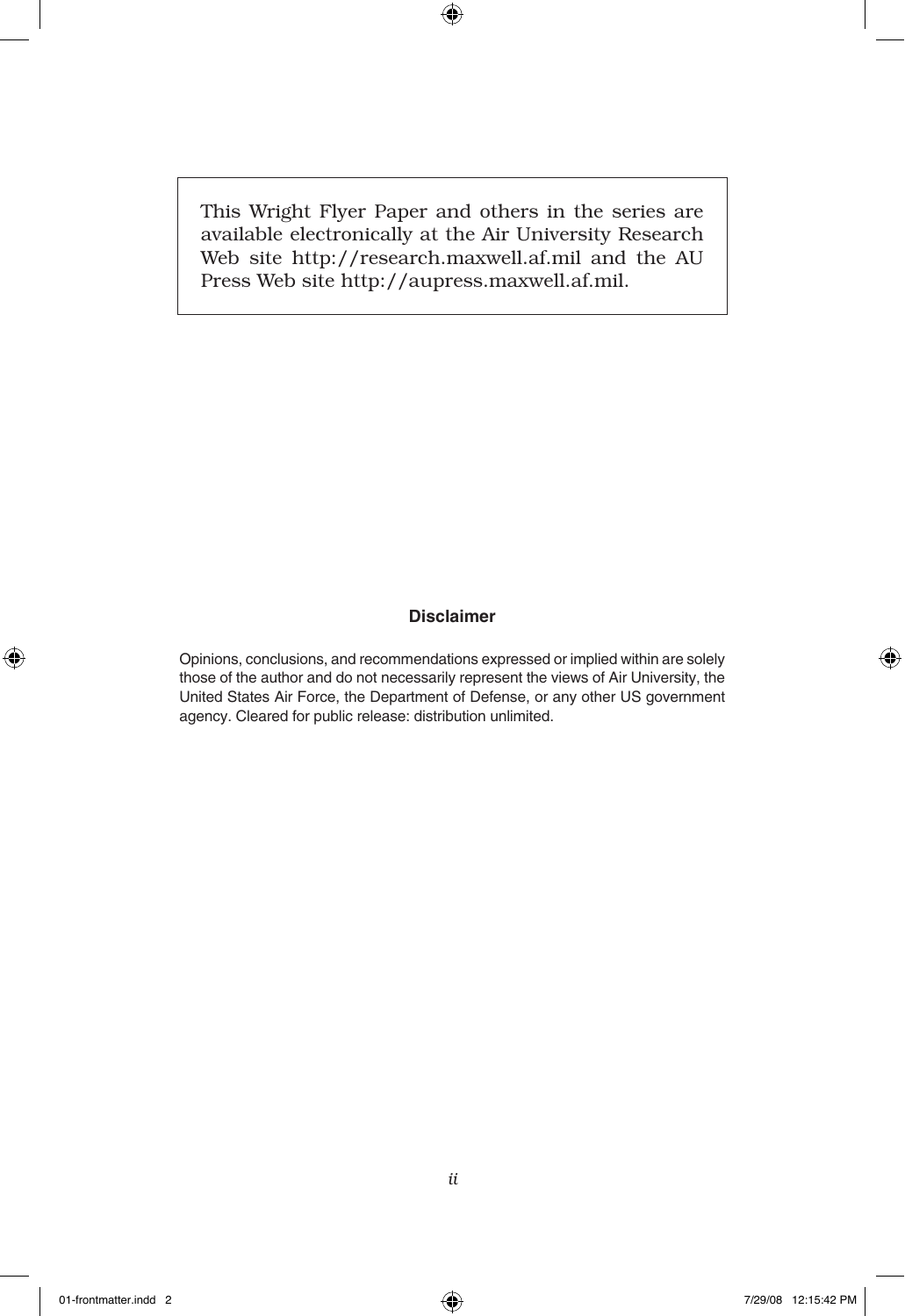This Wright Flyer Paper and others in the series are available electronically at the Air University Research Web site http://research.maxwell.af.mil and the AU Press Web site http://aupress.maxwell.af.mil.

#### **Disclaimer**

Opinions, conclusions, and recommendations expressed or implied within are solely those of the author and do not necessarily represent the views of Air University, the United States Air Force, the Department of Defense, or any other US government agency. Cleared for public release: distribution unlimited.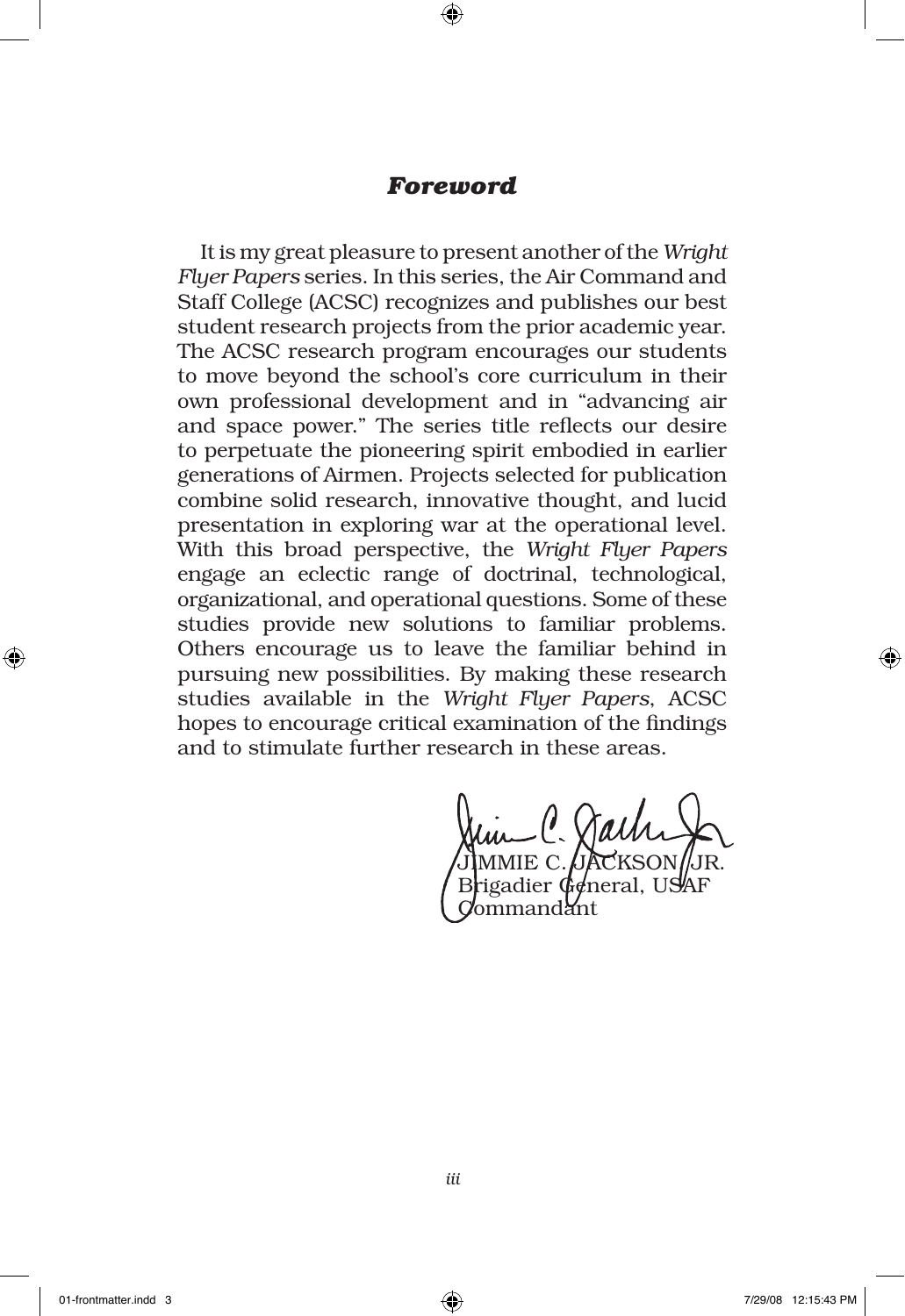## *Foreword*

It is my great pleasure to present another of the *Wright Flyer Papers* series. In this series, the Air Command and Staff College (ACSC) recognizes and publishes our best student research projects from the prior academic year. The ACSC research program encourages our students to move beyond the school's core curriculum in their own professional development and in "advancing air and space power." The series title reflects our desire to perpetuate the pioneering spirit embodied in earlier generations of Airmen. Projects selected for publication combine solid research, innovative thought, and lucid presentation in exploring war at the operational level. With this broad perspective, the *Wright Flyer Papers* engage an eclectic range of doctrinal, technological, organizational, and operational questions. Some of these studies provide new solutions to familiar problems. Others encourage us to leave the familiar behind in pursuing new possibilities. By making these research studies available in the *Wright Flyer Papers*, ACSC hopes to encourage critical examination of the findings and to stimulate further research in these areas.

JIMMIE C.*JJ*ACKSON/JR. Brigadier General, USAF nandant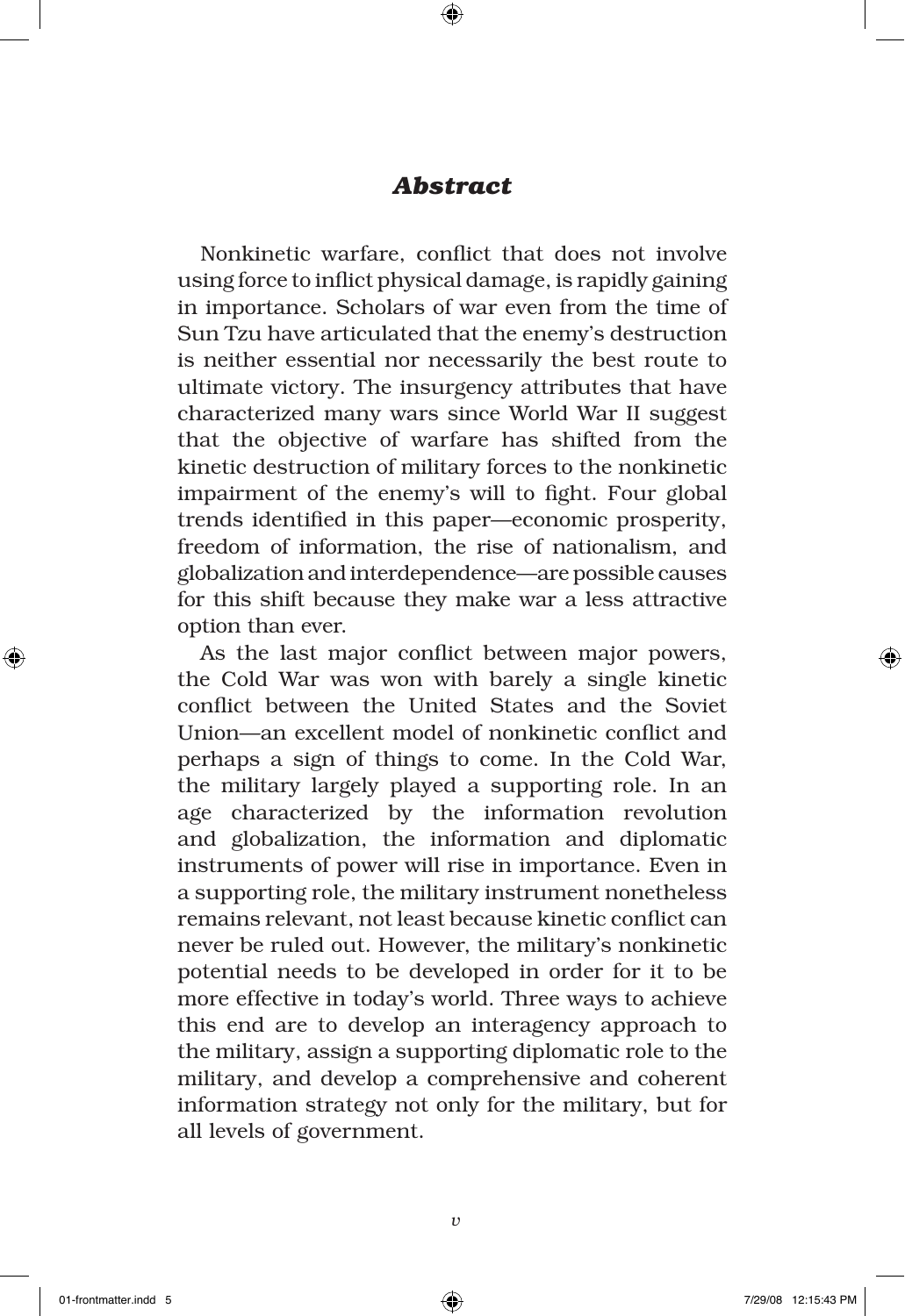# *Abstract*

Nonkinetic warfare, conflict that does not involve using force to inflict physical damage, is rapidly gaining in importance. Scholars of war even from the time of Sun Tzu have articulated that the enemy's destruction is neither essential nor necessarily the best route to ultimate victory. The insurgency attributes that have characterized many wars since World War II suggest that the objective of warfare has shifted from the kinetic destruction of military forces to the nonkinetic impairment of the enemy's will to fight. Four global trends identified in this paper—economic prosperity, freedom of information, the rise of nationalism, and globalization and interdependence—are possible causes for this shift because they make war a less attractive option than ever.

As the last major conflict between major powers, the Cold War was won with barely a single kinetic conflict between the United States and the Soviet Union—an excellent model of nonkinetic conflict and perhaps a sign of things to come. In the Cold War, the military largely played a supporting role. In an age characterized by the information revolution and globalization, the information and diplomatic instruments of power will rise in importance. Even in a supporting role, the military instrument nonetheless remains relevant, not least because kinetic conflict can never be ruled out. However, the military's nonkinetic potential needs to be developed in order for it to be more effective in today's world. Three ways to achieve this end are to develop an interagency approach to the military, assign a supporting diplomatic role to the military, and develop a comprehensive and coherent information strategy not only for the military, but for all levels of government.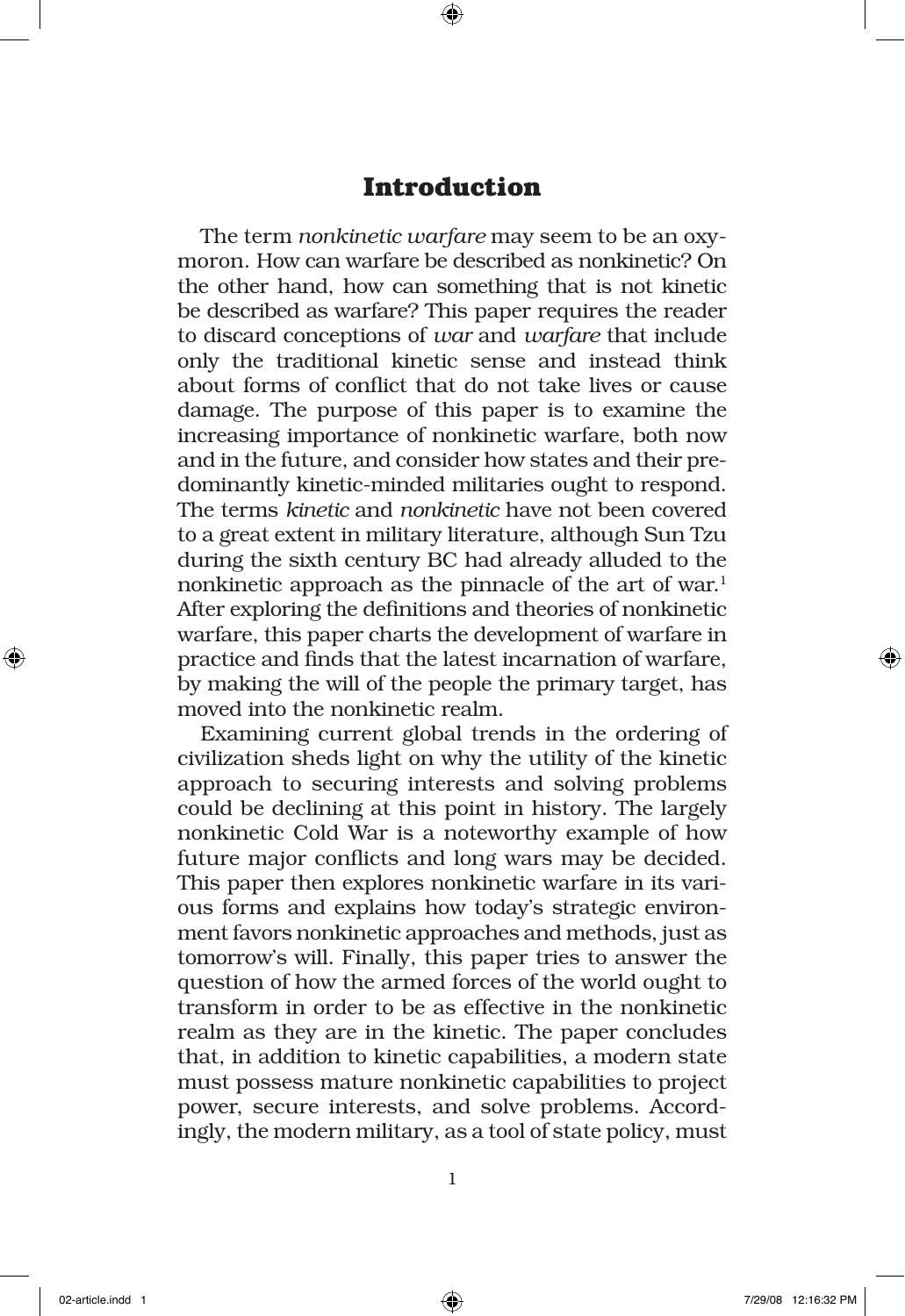# **Introduction**

The term *nonkinetic warfare* may seem to be an oxymoron. How can warfare be described as nonkinetic? On the other hand, how can something that is not kinetic be described as warfare? This paper requires the reader to discard conceptions of *war* and *warfare* that include only the traditional kinetic sense and instead think about forms of conflict that do not take lives or cause damage. The purpose of this paper is to examine the increasing importance of nonkinetic warfare, both now and in the future, and consider how states and their predominantly kinetic-minded militaries ought to respond. The terms *kinetic* and *nonkinetic* have not been covered to a great extent in military literature, although Sun Tzu during the sixth century BC had already alluded to the nonkinetic approach as the pinnacle of the art of war. $1$ After exploring the definitions and theories of nonkinetic warfare, this paper charts the development of warfare in practice and finds that the latest incarnation of warfare, by making the will of the people the primary target, has moved into the nonkinetic realm.

Examining current global trends in the ordering of civilization sheds light on why the utility of the kinetic approach to securing interests and solving problems could be declining at this point in history. The largely nonkinetic Cold War is a noteworthy example of how future major conflicts and long wars may be decided. This paper then explores nonkinetic warfare in its various forms and explains how today's strategic environment favors nonkinetic approaches and methods, just as tomorrow's will. Finally, this paper tries to answer the question of how the armed forces of the world ought to transform in order to be as effective in the nonkinetic realm as they are in the kinetic. The paper concludes that, in addition to kinetic capabilities, a modern state must possess mature nonkinetic capabilities to project power, secure interests, and solve problems. Accordingly, the modern military, as a tool of state policy, must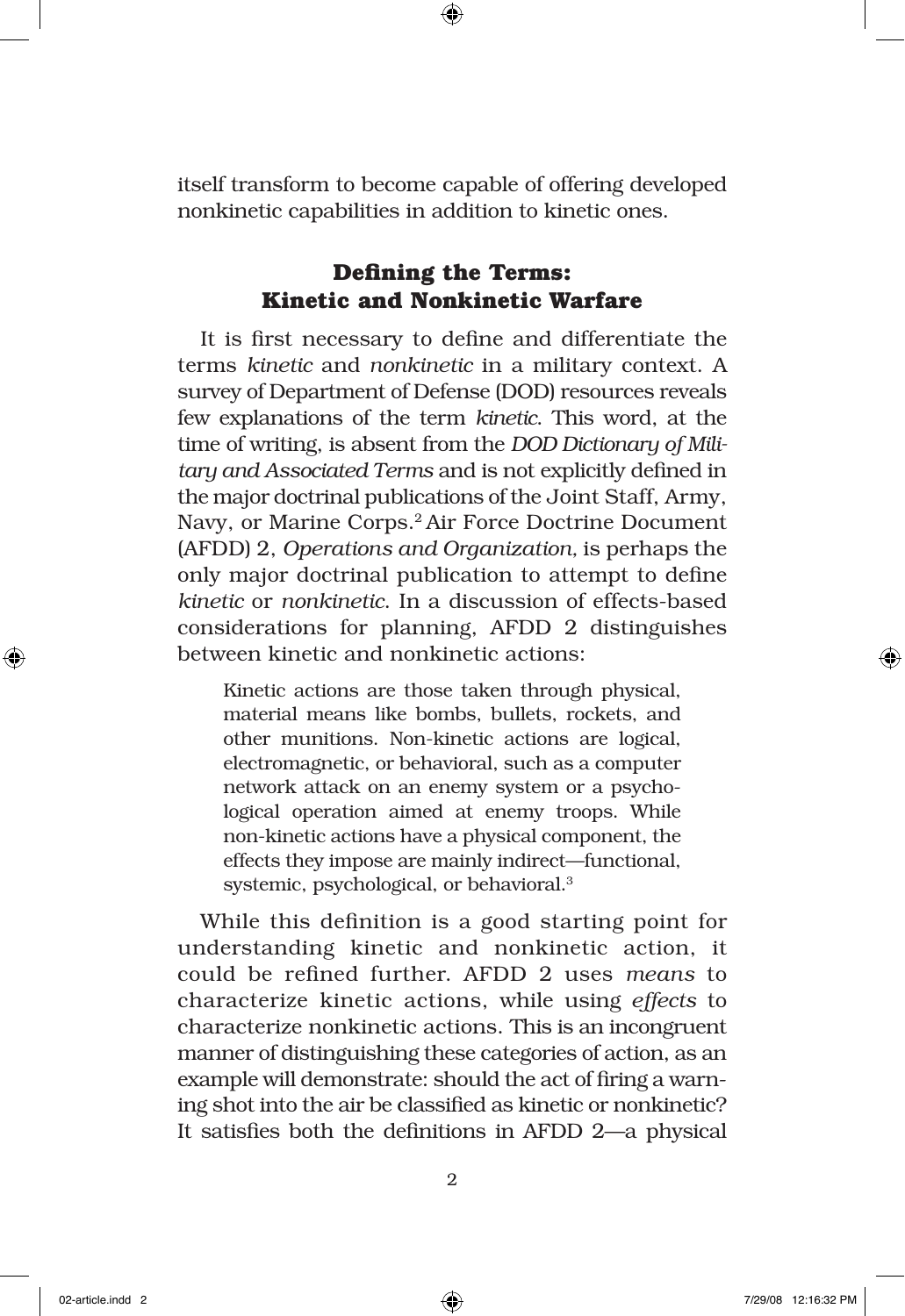itself transform to become capable of offering developed nonkinetic capabilities in addition to kinetic ones.

# **Defining the Terms: Kinetic and Nonkinetic Warfare**

It is first necessary to define and differentiate the terms *kinetic* and *nonkinetic* in a military context. A survey of Department of Defense (DOD) resources reveals few explanations of the term *kinetic*. This word, at the time of writing, is absent from the *DOD Dictionary of Military and Associated Terms* and is not explicitly defined in the major doctrinal publications of the Joint Staff, Army, Navy, or Marine Corps.2 Air Force Doctrine Document (AFDD) 2, *Operations and Organization,* is perhaps the only major doctrinal publication to attempt to define *kinetic* or *nonkinetic*. In a discussion of effects-based considerations for planning, AFDD 2 distinguishes between kinetic and nonkinetic actions:

Kinetic actions are those taken through physical, material means like bombs, bullets, rockets, and other munitions. Non-kinetic actions are logical, electromagnetic, or behavioral, such as a computer network attack on an enemy system or a psychological operation aimed at enemy troops. While non-kinetic actions have a physical component, the effects they impose are mainly indirect—functional, systemic, psychological, or behavioral.3

While this definition is a good starting point for understanding kinetic and nonkinetic action, it could be refined further. AFDD 2 uses *means* to characterize kinetic actions, while using *effects* to characterize nonkinetic actions. This is an incongruent manner of distinguishing these categories of action, as an example will demonstrate: should the act of firing a warning shot into the air be classified as kinetic or nonkinetic? It satisfies both the definitions in AFDD 2—a physical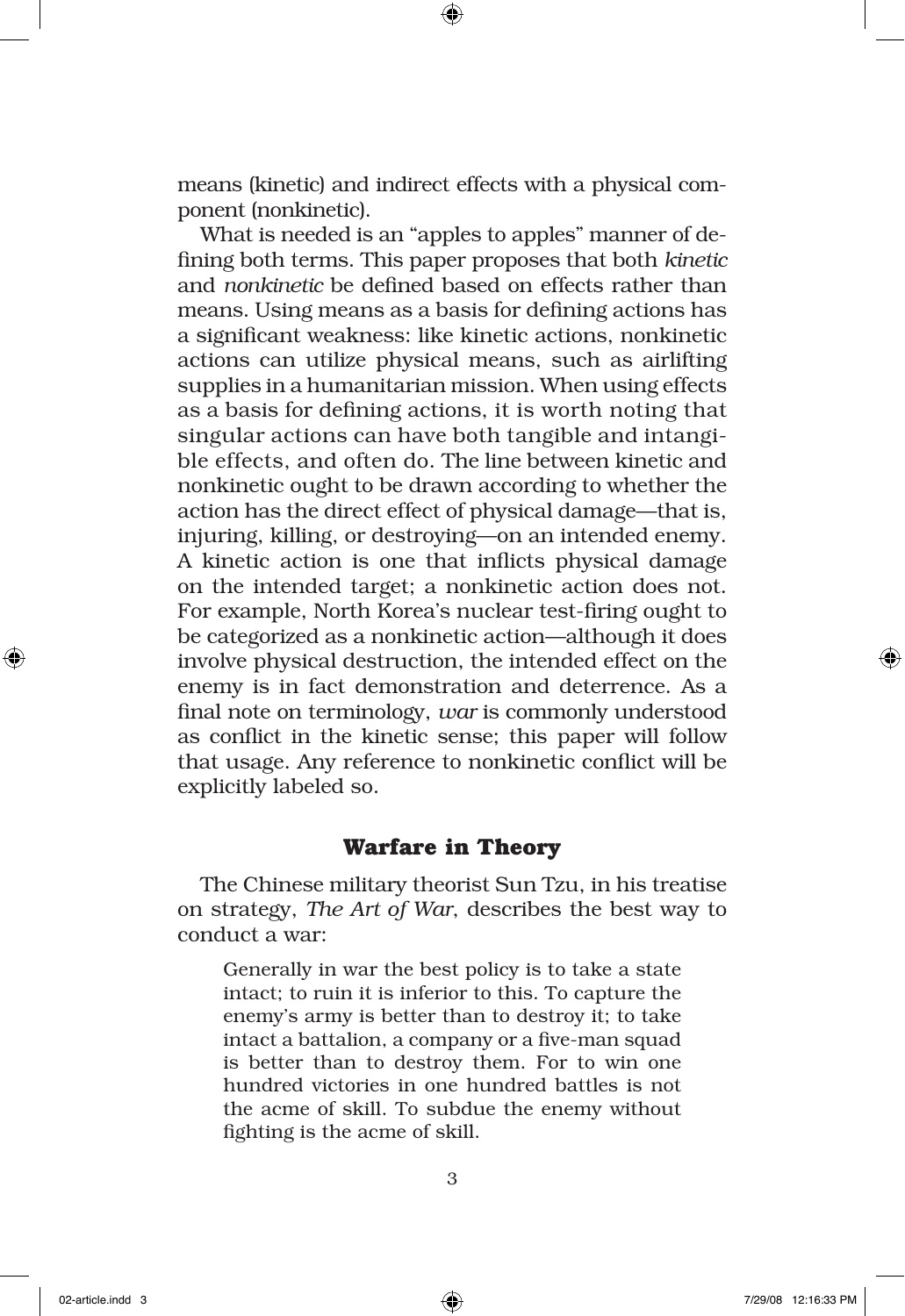means (kinetic) and indirect effects with a physical component (nonkinetic).

What is needed is an "apples to apples" manner of defining both terms. This paper proposes that both *kinetic* and *nonkinetic* be defined based on effects rather than means. Using means as a basis for defining actions has a significant weakness: like kinetic actions, nonkinetic actions can utilize physical means, such as airlifting supplies in a humanitarian mission. When using effects as a basis for defining actions, it is worth noting that singular actions can have both tangible and intangible effects, and often do. The line between kinetic and nonkinetic ought to be drawn according to whether the action has the direct effect of physical damage—that is, injuring, killing, or destroying—on an intended enemy. A kinetic action is one that inflicts physical damage on the intended target; a nonkinetic action does not. For example, North Korea's nuclear test-firing ought to be categorized as a nonkinetic action—although it does involve physical destruction, the intended effect on the enemy is in fact demonstration and deterrence. As a final note on terminology, *war* is commonly understood as conflict in the kinetic sense; this paper will follow that usage. Any reference to nonkinetic conflict will be explicitly labeled so.

#### **Warfare in Theory**

The Chinese military theorist Sun Tzu, in his treatise on strategy, *The Art of War*, describes the best way to conduct a war:

Generally in war the best policy is to take a state intact; to ruin it is inferior to this. To capture the enemy's army is better than to destroy it; to take intact a battalion, a company or a five-man squad is better than to destroy them. For to win one hundred victories in one hundred battles is not the acme of skill. To subdue the enemy without fighting is the acme of skill.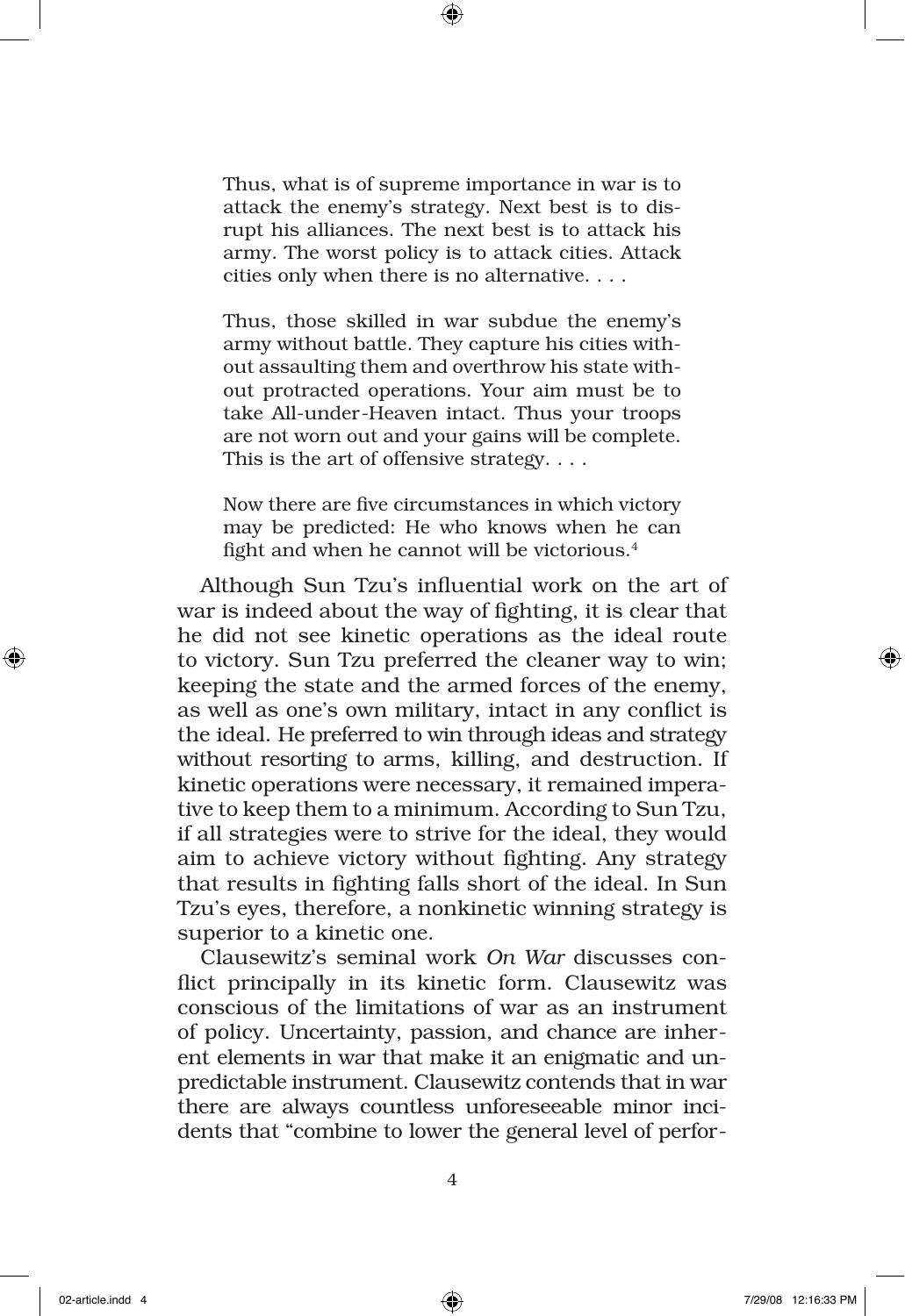Thus, what is of supreme importance in war is to attack the enemy's strategy. Next best is to disrupt his alliances. The next best is to attack his army. The worst policy is to attack cities. Attack cities only when there is no alternative. . . .

Thus, those skilled in war subdue the enemy's army without battle. They capture his cities without assaulting them and overthrow his state without protracted operations. Your aim must be to take All-under-Heaven intact. Thus your troops are not worn out and your gains will be complete. This is the art of offensive strategy. . . .

Now there are five circumstances in which victory may be predicted: He who knows when he can fight and when he cannot will be victorious.<sup>4</sup>

Although Sun Tzu's influential work on the art of war is indeed about the way of fighting, it is clear that he did not see kinetic operations as the ideal route to victory. Sun Tzu preferred the cleaner way to win; keeping the state and the armed forces of the enemy, as well as one's own military, intact in any conflict is the ideal. He preferred to win through ideas and strategy without resorting to arms, killing, and destruction. If kinetic operations were necessary, it remained imperative to keep them to a minimum. According to Sun Tzu, if all strategies were to strive for the ideal, they would aim to achieve victory without fighting. Any strategy that results in fighting falls short of the ideal. In Sun Tzu's eyes, therefore, a nonkinetic winning strategy is superior to a kinetic one.

Clausewitz's seminal work *On War* discusses conflict principally in its kinetic form. Clausewitz was conscious of the limitations of war as an instrument of policy. Uncertainty, passion, and chance are inherent elements in war that make it an enigmatic and unpredictable instrument. Clausewitz contends that in war there are always countless unforeseeable minor incidents that "combine to lower the general level of perfor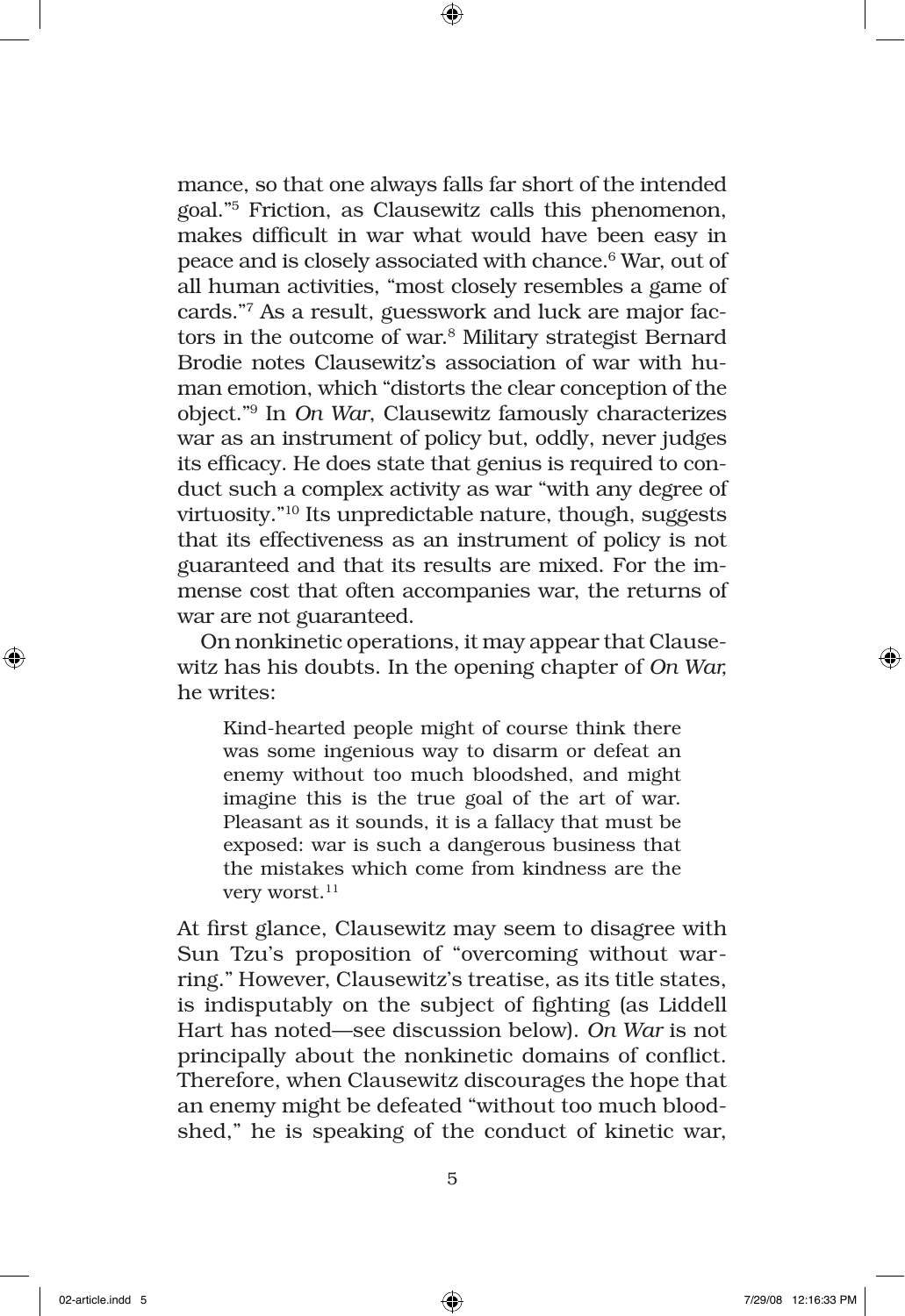mance, so that one always falls far short of the intended goal."5 Friction, as Clausewitz calls this phenomenon, makes difficult in war what would have been easy in peace and is closely associated with chance.<sup>6</sup> War, out of all human activities, "most closely resembles a game of cards."7 As a result, guesswork and luck are major factors in the outcome of war.8 Military strategist Bernard Brodie notes Clausewitz's association of war with human emotion, which "distorts the clear conception of the object."9 In *On War*, Clausewitz famously characterizes war as an instrument of policy but, oddly, never judges its efficacy. He does state that genius is required to conduct such a complex activity as war "with any degree of virtuosity."10 Its unpredictable nature, though, suggests that its effectiveness as an instrument of policy is not guaranteed and that its results are mixed. For the immense cost that often accompanies war, the returns of war are not guaranteed.

On nonkinetic operations, it may appear that Clausewitz has his doubts. In the opening chapter of *On War,* he writes:

Kind-hearted people might of course think there was some ingenious way to disarm or defeat an enemy without too much bloodshed, and might imagine this is the true goal of the art of war. Pleasant as it sounds, it is a fallacy that must be exposed: war is such a dangerous business that the mistakes which come from kindness are the very worst.<sup>11</sup>

At first glance, Clausewitz may seem to disagree with Sun Tzu's proposition of "overcoming without warring." However, Clausewitz's treatise, as its title states, is indisputably on the subject of fighting (as Liddell Hart has noted—see discussion below). *On War* is not principally about the nonkinetic domains of conflict. Therefore, when Clausewitz discourages the hope that an enemy might be defeated "without too much bloodshed," he is speaking of the conduct of kinetic war,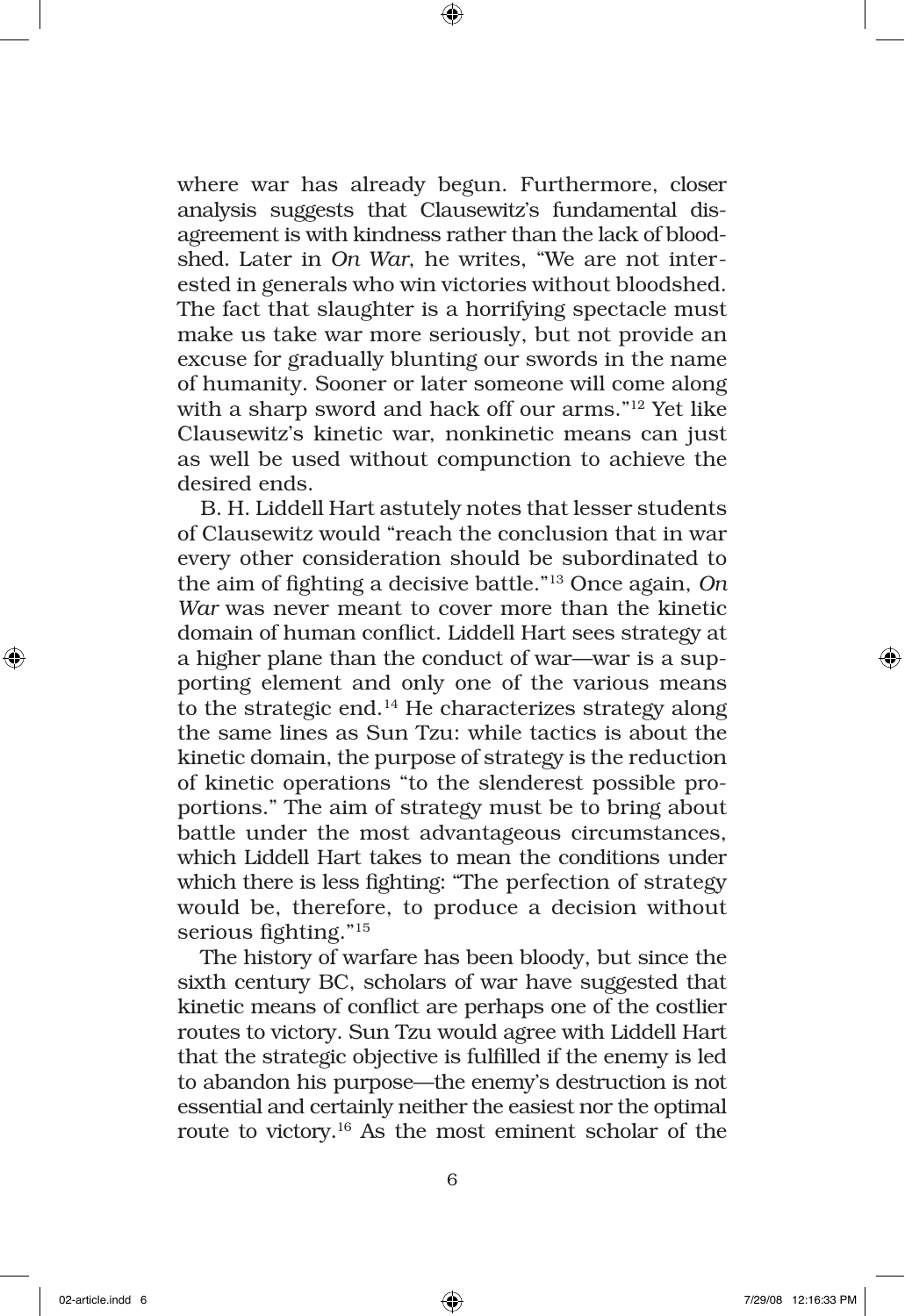where war has already begun. Furthermore, closer analysis suggests that Clausewitz's fundamental disagreement is with kindness rather than the lack of bloodshed. Later in *On War*, he writes, "We are not interested in generals who win victories without bloodshed. The fact that slaughter is a horrifying spectacle must make us take war more seriously, but not provide an excuse for gradually blunting our swords in the name of humanity. Sooner or later someone will come along with a sharp sword and hack off our arms."12 Yet like Clausewitz's kinetic war, nonkinetic means can just as well be used without compunction to achieve the desired ends.

B. H. Liddell Hart astutely notes that lesser students of Clausewitz would "reach the conclusion that in war every other consideration should be subordinated to the aim of fighting a decisive battle."13 Once again, *On War* was never meant to cover more than the kinetic domain of human conflict. Liddell Hart sees strategy at a higher plane than the conduct of war—war is a supporting element and only one of the various means to the strategic end. $14$  He characterizes strategy along the same lines as Sun Tzu: while tactics is about the kinetic domain, the purpose of strategy is the reduction of kinetic operations "to the slenderest possible proportions." The aim of strategy must be to bring about battle under the most advantageous circumstances, which Liddell Hart takes to mean the conditions under which there is less fighting: "The perfection of strategy would be, therefore, to produce a decision without serious fighting."15

The history of warfare has been bloody, but since the sixth century BC, scholars of war have suggested that kinetic means of conflict are perhaps one of the costlier routes to victory. Sun Tzu would agree with Liddell Hart that the strategic objective is fulfilled if the enemy is led to abandon his purpose—the enemy's destruction is not essential and certainly neither the easiest nor the optimal route to victory.16 As the most eminent scholar of the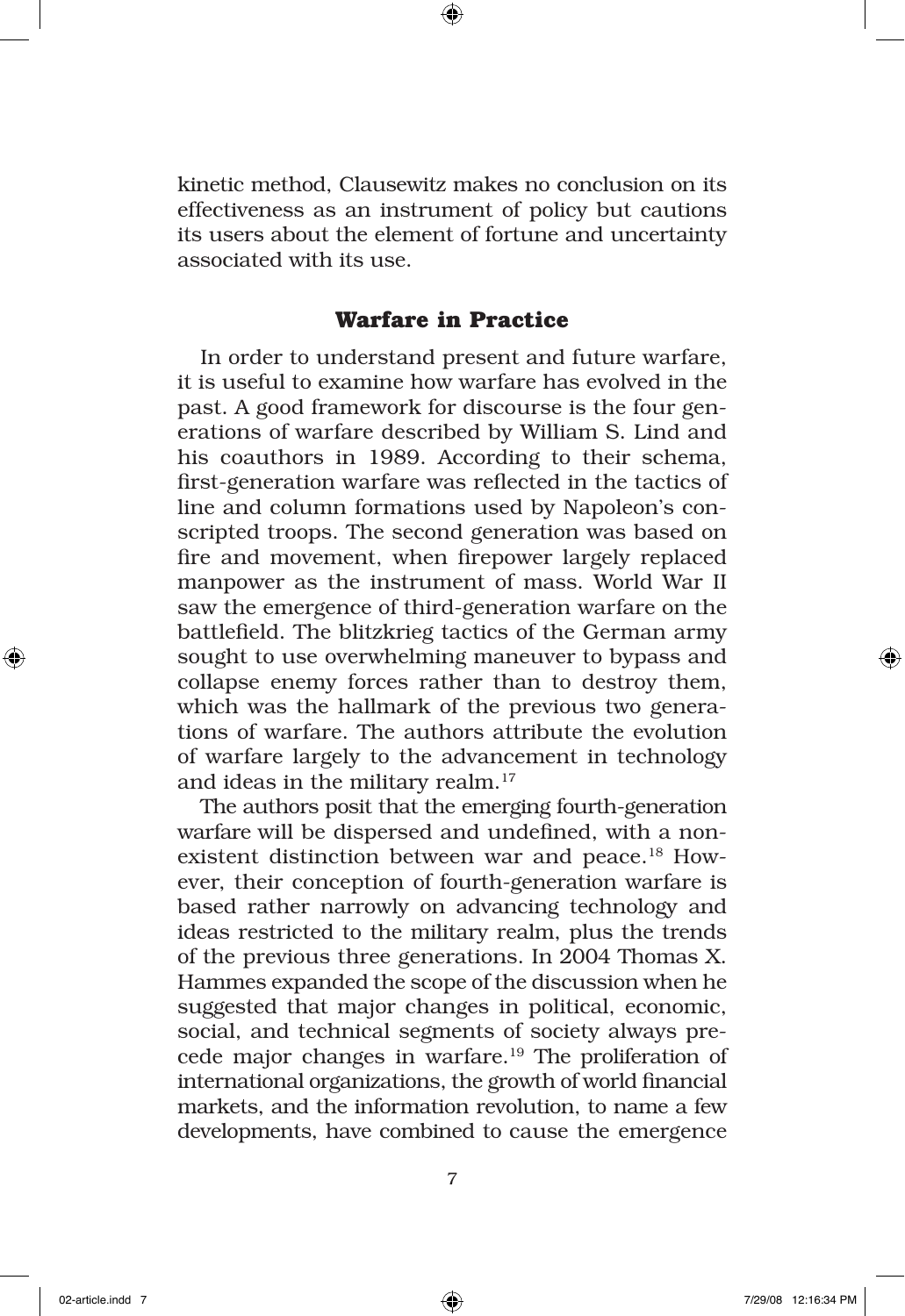kinetic method, Clausewitz makes no conclusion on its effectiveness as an instrument of policy but cautions its users about the element of fortune and uncertainty associated with its use.

#### **Warfare in Practice**

In order to understand present and future warfare, it is useful to examine how warfare has evolved in the past. A good framework for discourse is the four generations of warfare described by William S. Lind and his coauthors in 1989. According to their schema, first-generation warfare was reflected in the tactics of line and column formations used by Napoleon's conscripted troops. The second generation was based on fire and movement, when firepower largely replaced manpower as the instrument of mass. World War II saw the emergence of third-generation warfare on the battlefield. The blitzkrieg tactics of the German army sought to use overwhelming maneuver to bypass and collapse enemy forces rather than to destroy them, which was the hallmark of the previous two generations of warfare. The authors attribute the evolution of warfare largely to the advancement in technology and ideas in the military realm.<sup>17</sup>

The authors posit that the emerging fourth-generation warfare will be dispersed and undefined, with a nonexistent distinction between war and peace.18 However, their conception of fourth-generation warfare is based rather narrowly on advancing technology and ideas restricted to the military realm, plus the trends of the previous three generations. In 2004 Thomas X. Hammes expanded the scope of the discussion when he suggested that major changes in political, economic, social, and technical segments of society always precede major changes in warfare.<sup>19</sup> The proliferation of international organizations, the growth of world financial markets, and the information revolution, to name a few developments, have combined to cause the emergence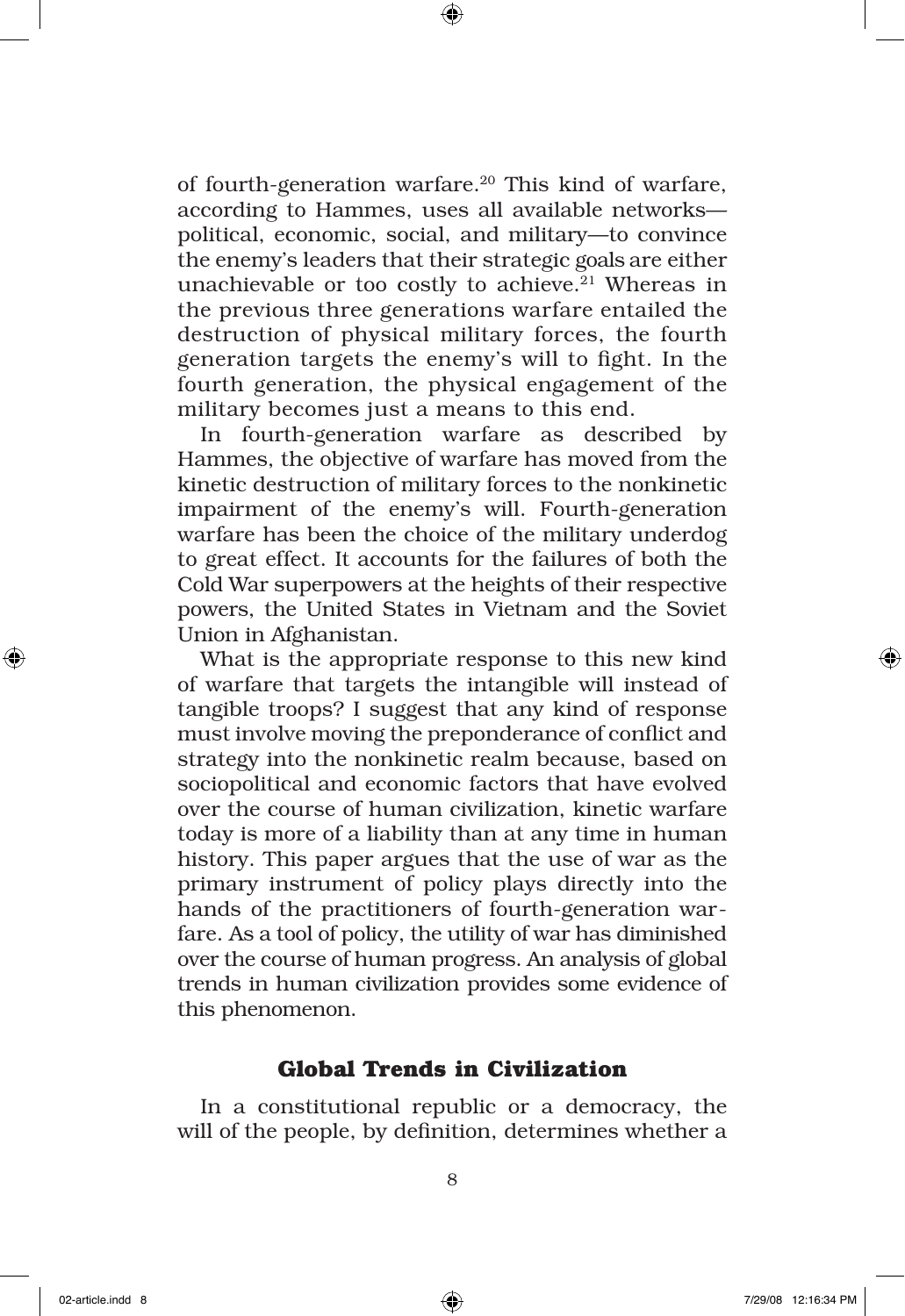of fourth-generation warfare.<sup>20</sup> This kind of warfare, according to Hammes, uses all available networks political, economic, social, and military—to convince the enemy's leaders that their strategic goals are either unachievable or too costly to achieve. $21$  Whereas in the previous three generations warfare entailed the destruction of physical military forces, the fourth generation targets the enemy's will to fight. In the fourth generation, the physical engagement of the military becomes just a means to this end.

In fourth-generation warfare as described by Hammes, the objective of warfare has moved from the kinetic destruction of military forces to the nonkinetic impairment of the enemy's will. Fourth-generation warfare has been the choice of the military underdog to great effect. It accounts for the failures of both the Cold War superpowers at the heights of their respective powers, the United States in Vietnam and the Soviet Union in Afghanistan.

What is the appropriate response to this new kind of warfare that targets the intangible will instead of tangible troops? I suggest that any kind of response must involve moving the preponderance of conflict and strategy into the nonkinetic realm because, based on sociopolitical and economic factors that have evolved over the course of human civilization, kinetic warfare today is more of a liability than at any time in human history. This paper argues that the use of war as the primary instrument of policy plays directly into the hands of the practitioners of fourth-generation warfare. As a tool of policy, the utility of war has diminished over the course of human progress. An analysis of global trends in human civilization provides some evidence of this phenomenon.

## **Global Trends in Civilization**

In a constitutional republic or a democracy, the will of the people, by definition, determines whether a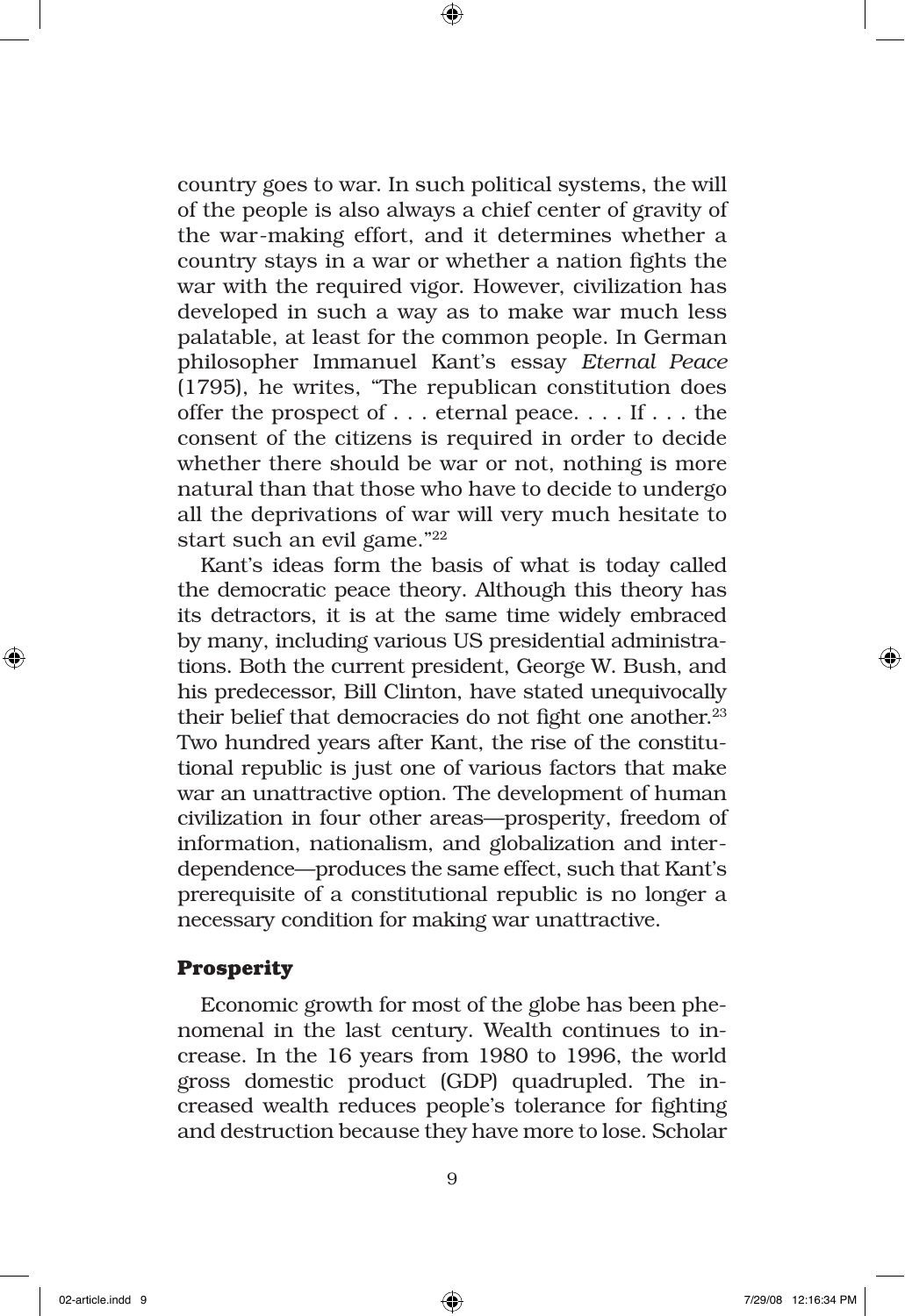country goes to war. In such political systems, the will of the people is also always a chief center of gravity of the war-making effort, and it determines whether a country stays in a war or whether a nation fights the war with the required vigor. However, civilization has developed in such a way as to make war much less palatable, at least for the common people. In German philosopher Immanuel Kant's essay *Eternal Peace*  (1795), he writes, "The republican constitution does offer the prospect of . . . eternal peace. . . . If . . . the consent of the citizens is required in order to decide whether there should be war or not, nothing is more natural than that those who have to decide to undergo all the deprivations of war will very much hesitate to start such an evil game."22

Kant's ideas form the basis of what is today called the democratic peace theory. Although this theory has its detractors, it is at the same time widely embraced by many, including various US presidential administrations. Both the current president, George W. Bush, and his predecessor, Bill Clinton, have stated unequivocally their belief that democracies do not fight one another.<sup>23</sup> Two hundred years after Kant, the rise of the constitutional republic is just one of various factors that make war an unattractive option. The development of human civilization in four other areas—prosperity, freedom of information, nationalism, and globalization and interdependence—produces the same effect, such that Kant's prerequisite of a constitutional republic is no longer a necessary condition for making war unattractive.

#### **Prosperity**

Economic growth for most of the globe has been phenomenal in the last century. Wealth continues to increase. In the 16 years from 1980 to 1996, the world gross domestic product (GDP) quadrupled. The increased wealth reduces people's tolerance for fighting and destruction because they have more to lose. Scholar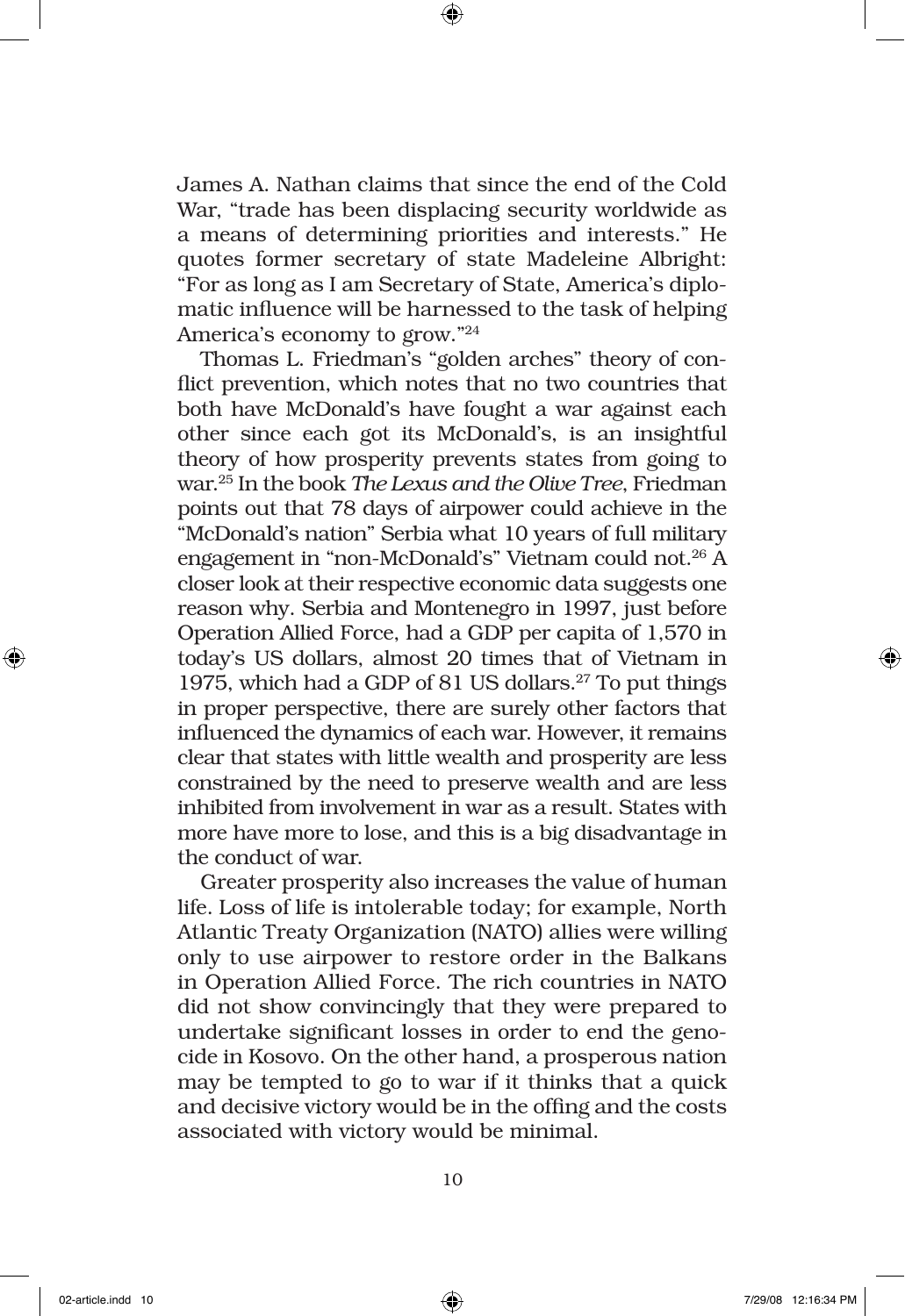James A. Nathan claims that since the end of the Cold War, "trade has been displacing security worldwide as a means of determining priorities and interests." He quotes former secretary of state Madeleine Albright: "For as long as I am Secretary of State, America's diplomatic influence will be harnessed to the task of helping America's economy to grow."24

Thomas L. Friedman's "golden arches" theory of conflict prevention, which notes that no two countries that both have McDonald's have fought a war against each other since each got its McDonald's, is an insightful theory of how prosperity prevents states from going to war.25 In the book *The Lexus and the Olive Tree*, Friedman points out that 78 days of airpower could achieve in the "McDonald's nation" Serbia what 10 years of full military engagement in "non-McDonald's" Vietnam could not.26 A closer look at their respective economic data suggests one reason why. Serbia and Montenegro in 1997, just before Operation Allied Force, had a GDP per capita of 1,570 in today's US dollars, almost 20 times that of Vietnam in 1975, which had a GDP of 81 US dollars.<sup>27</sup> To put things in proper perspective, there are surely other factors that influenced the dynamics of each war. However, it remains clear that states with little wealth and prosperity are less constrained by the need to preserve wealth and are less inhibited from involvement in war as a result. States with more have more to lose, and this is a big disadvantage in the conduct of war.

Greater prosperity also increases the value of human life. Loss of life is intolerable today; for example, North Atlantic Treaty Organization (NATO) allies were willing only to use airpower to restore order in the Balkans in Operation Allied Force. The rich countries in NATO did not show convincingly that they were prepared to undertake significant losses in order to end the genocide in Kosovo. On the other hand, a prosperous nation may be tempted to go to war if it thinks that a quick and decisive victory would be in the offing and the costs associated with victory would be minimal.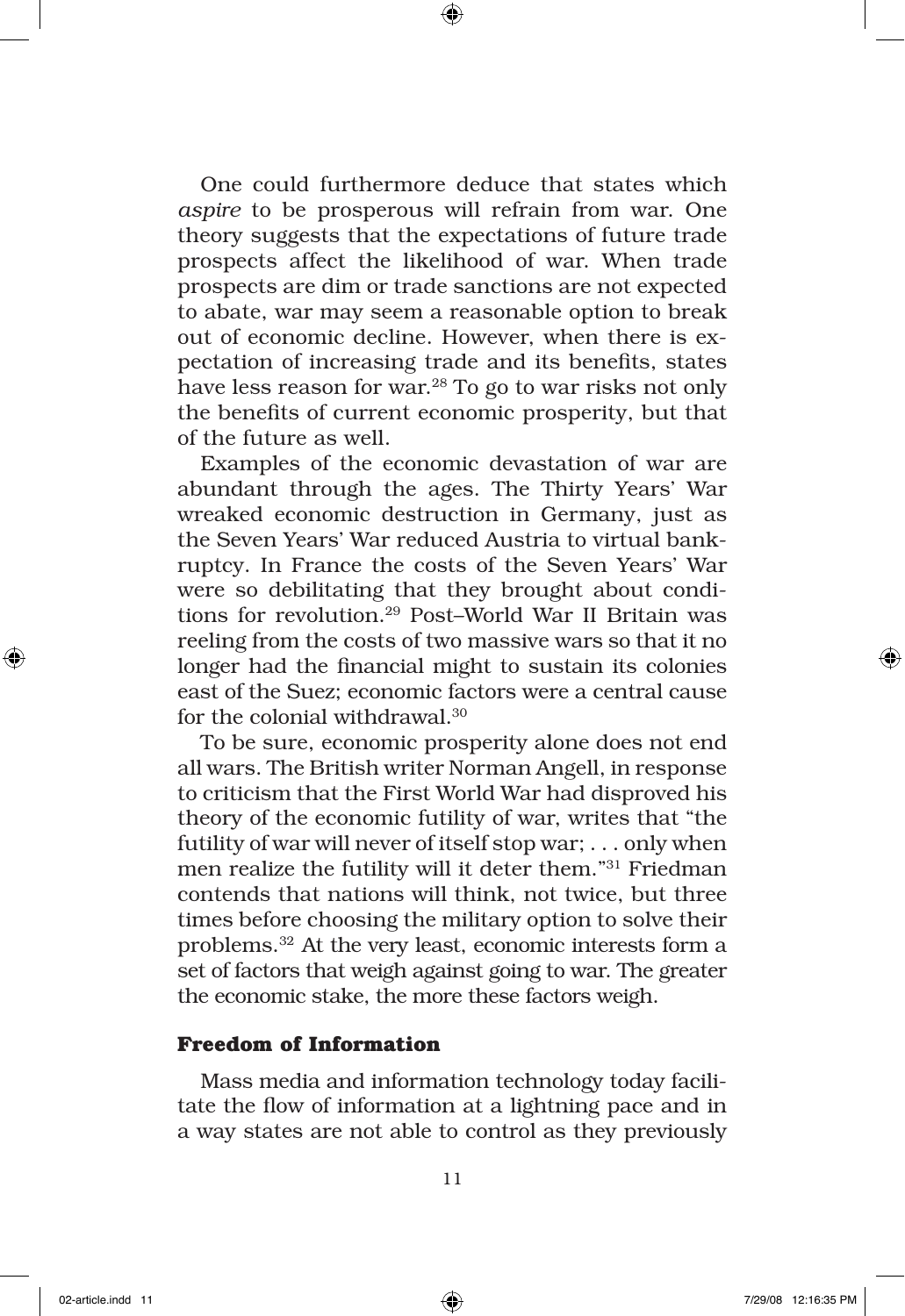One could furthermore deduce that states which *aspire* to be prosperous will refrain from war. One theory suggests that the expectations of future trade prospects affect the likelihood of war. When trade prospects are dim or trade sanctions are not expected to abate, war may seem a reasonable option to break out of economic decline. However, when there is expectation of increasing trade and its benefits, states have less reason for war.<sup>28</sup> To go to war risks not only the benefits of current economic prosperity, but that of the future as well.

Examples of the economic devastation of war are abundant through the ages. The Thirty Years' War wreaked economic destruction in Germany, just as the Seven Years' War reduced Austria to virtual bankruptcy. In France the costs of the Seven Years' War were so debilitating that they brought about conditions for revolution.29 Post–World War II Britain was reeling from the costs of two massive wars so that it no longer had the financial might to sustain its colonies east of the Suez; economic factors were a central cause for the colonial withdrawal.30

To be sure, economic prosperity alone does not end all wars. The British writer Norman Angell, in response to criticism that the First World War had disproved his theory of the economic futility of war, writes that "the futility of war will never of itself stop war; . . . only when men realize the futility will it deter them."31 Friedman contends that nations will think, not twice, but three times before choosing the military option to solve their problems.32 At the very least, economic interests form a set of factors that weigh against going to war. The greater the economic stake, the more these factors weigh.

### **Freedom of Information**

Mass media and information technology today facilitate the flow of information at a lightning pace and in a way states are not able to control as they previously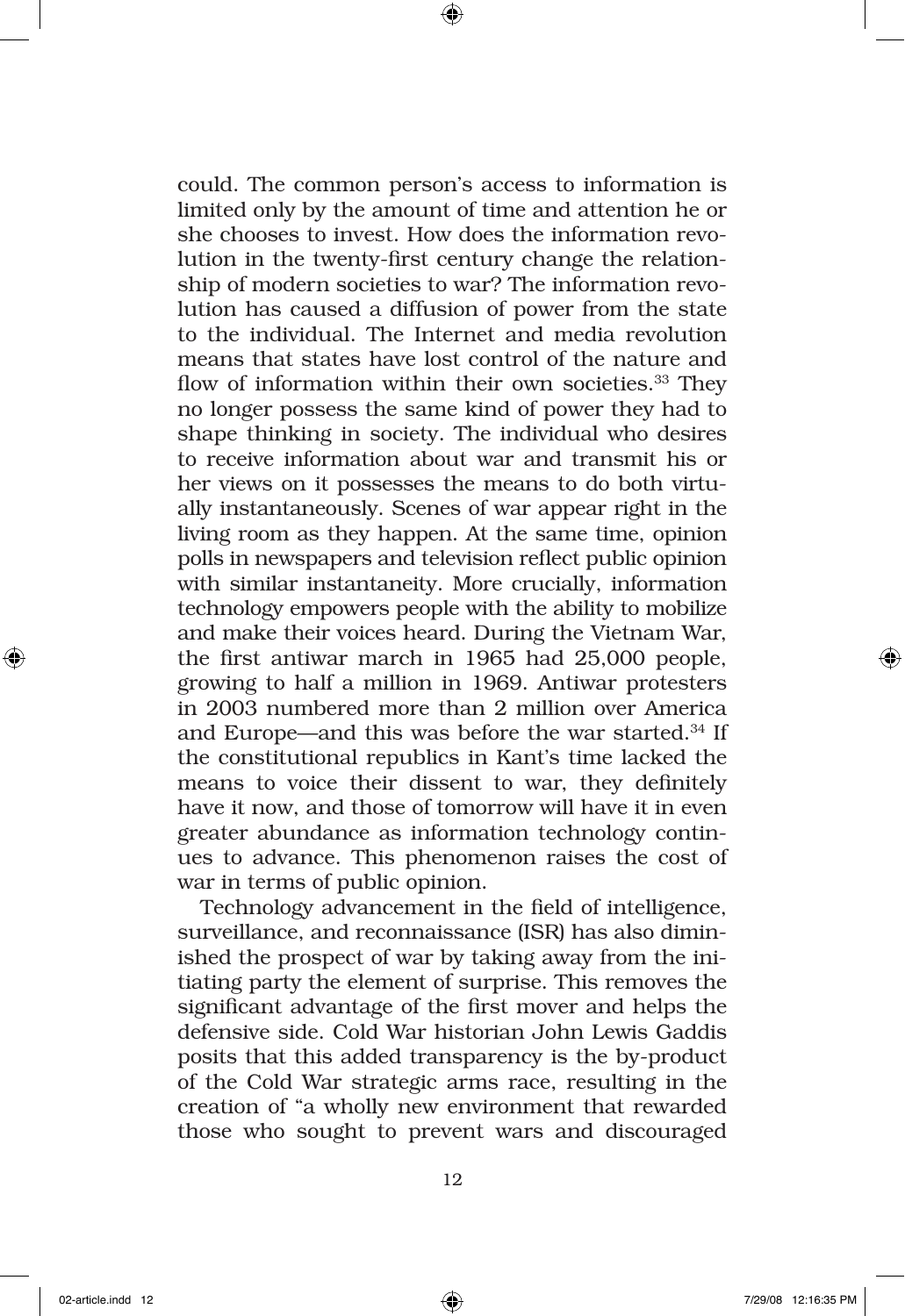could. The common person's access to information is limited only by the amount of time and attention he or she chooses to invest. How does the information revolution in the twenty-first century change the relationship of modern societies to war? The information revolution has caused a diffusion of power from the state to the individual. The Internet and media revolution means that states have lost control of the nature and flow of information within their own societies.<sup>33</sup> They no longer possess the same kind of power they had to shape thinking in society. The individual who desires to receive information about war and transmit his or her views on it possesses the means to do both virtually instantaneously. Scenes of war appear right in the living room as they happen. At the same time, opinion polls in newspapers and television reflect public opinion with similar instantaneity. More crucially, information technology empowers people with the ability to mobilize and make their voices heard. During the Vietnam War, the first antiwar march in 1965 had 25,000 people, growing to half a million in 1969. Antiwar protesters in 2003 numbered more than 2 million over America and Europe—and this was before the war started.34 If the constitutional republics in Kant's time lacked the means to voice their dissent to war, they definitely have it now, and those of tomorrow will have it in even greater abundance as information technology continues to advance. This phenomenon raises the cost of war in terms of public opinion.

Technology advancement in the field of intelligence, surveillance, and reconnaissance (ISR) has also diminished the prospect of war by taking away from the initiating party the element of surprise. This removes the significant advantage of the first mover and helps the defensive side. Cold War historian John Lewis Gaddis posits that this added transparency is the by-product of the Cold War strategic arms race, resulting in the creation of "a wholly new environment that rewarded those who sought to prevent wars and discouraged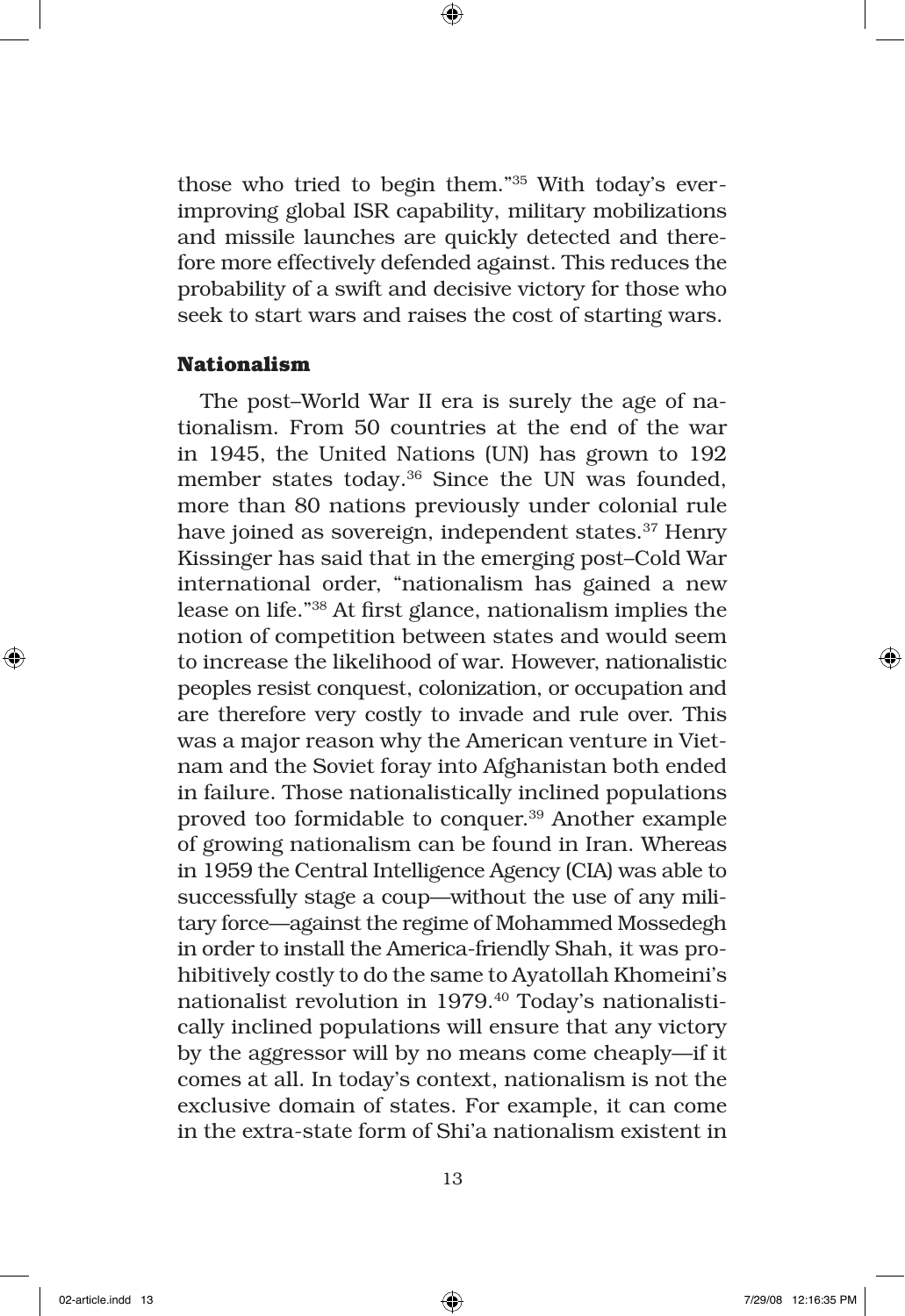those who tried to begin them."35 With today's everimproving global ISR capability, military mobilizations and missile launches are quickly detected and therefore more effectively defended against. This reduces the probability of a swift and decisive victory for those who seek to start wars and raises the cost of starting wars.

#### **Nationalism**

The post–World War II era is surely the age of nationalism. From 50 countries at the end of the war in 1945, the United Nations (UN) has grown to 192 member states today.<sup>36</sup> Since the UN was founded, more than 80 nations previously under colonial rule have joined as sovereign, independent states.<sup>37</sup> Henry Kissinger has said that in the emerging post–Cold War international order, "nationalism has gained a new lease on life."38 At first glance, nationalism implies the notion of competition between states and would seem to increase the likelihood of war. However, nationalistic peoples resist conquest, colonization, or occupation and are therefore very costly to invade and rule over. This was a major reason why the American venture in Vietnam and the Soviet foray into Afghanistan both ended in failure. Those nationalistically inclined populations proved too formidable to conquer.39 Another example of growing nationalism can be found in Iran. Whereas in 1959 the Central Intelligence Agency (CIA) was able to successfully stage a coup—without the use of any military force—against the regime of Mohammed Mossedegh in order to install the America-friendly Shah, it was prohibitively costly to do the same to Ayatollah Khomeini's nationalist revolution in 1979.40 Today's nationalistically inclined populations will ensure that any victory by the aggressor will by no means come cheaply—if it comes at all. In today's context, nationalism is not the exclusive domain of states. For example, it can come in the extra-state form of Shi'a nationalism existent in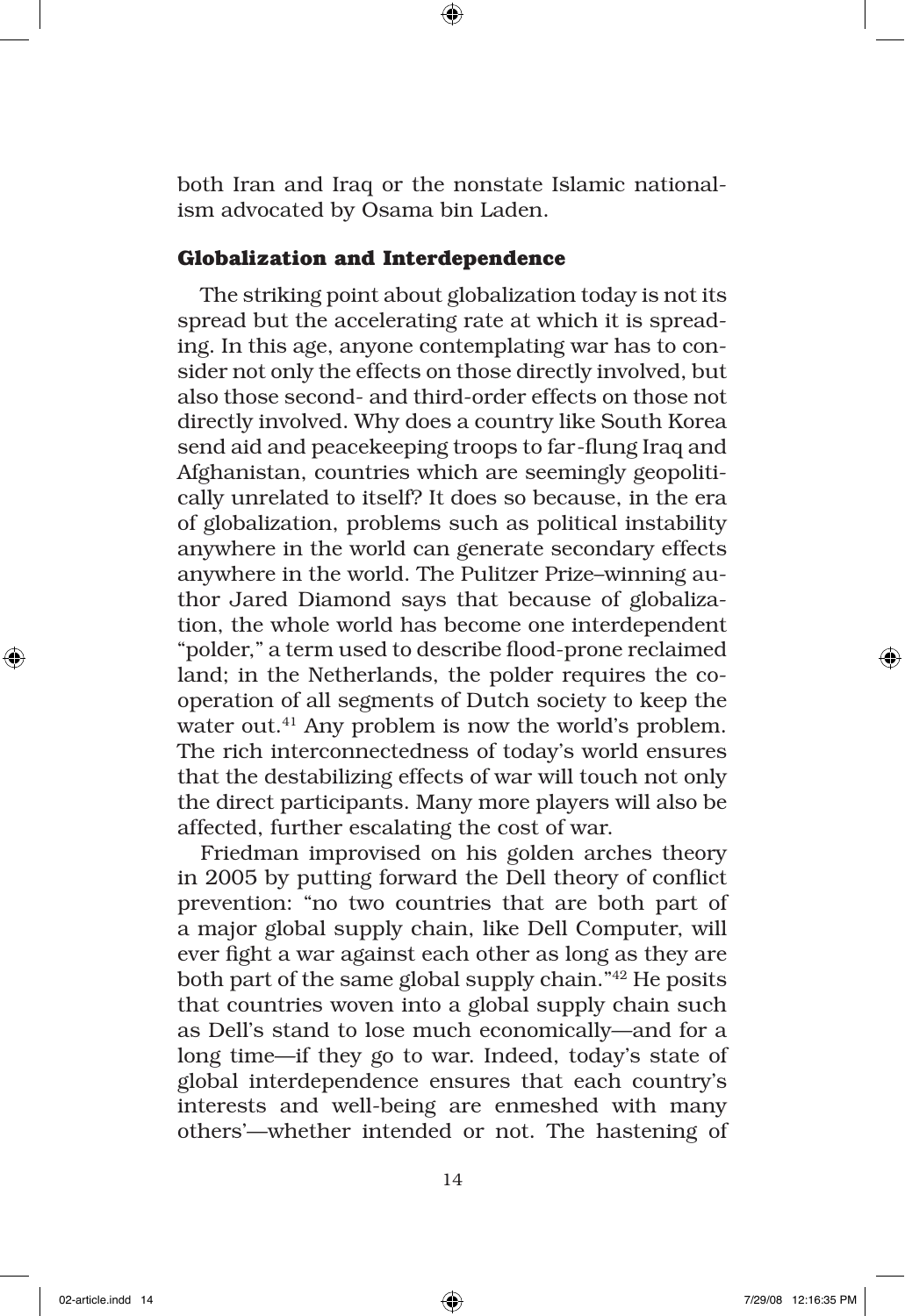both Iran and Iraq or the nonstate Islamic nationalism advocated by Osama bin Laden.

#### **Globalization and Interdependence**

The striking point about globalization today is not its spread but the accelerating rate at which it is spreading. In this age, anyone contemplating war has to consider not only the effects on those directly involved, but also those second- and third-order effects on those not directly involved. Why does a country like South Korea send aid and peacekeeping troops to far-flung Iraq and Afghanistan, countries which are seemingly geopolitically unrelated to itself? It does so because, in the era of globalization, problems such as political instability anywhere in the world can generate secondary effects anywhere in the world. The Pulitzer Prize–winning author Jared Diamond says that because of globalization, the whole world has become one interdependent "polder," a term used to describe flood-prone reclaimed land; in the Netherlands, the polder requires the cooperation of all segments of Dutch society to keep the water out.<sup>41</sup> Any problem is now the world's problem. The rich interconnectedness of today's world ensures that the destabilizing effects of war will touch not only the direct participants. Many more players will also be affected, further escalating the cost of war.

Friedman improvised on his golden arches theory in 2005 by putting forward the Dell theory of conflict prevention: "no two countries that are both part of a major global supply chain, like Dell Computer, will ever fight a war against each other as long as they are both part of the same global supply chain."42 He posits that countries woven into a global supply chain such as Dell's stand to lose much economically—and for a long time—if they go to war. Indeed, today's state of global interdependence ensures that each country's interests and well-being are enmeshed with many others'—whether intended or not. The hastening of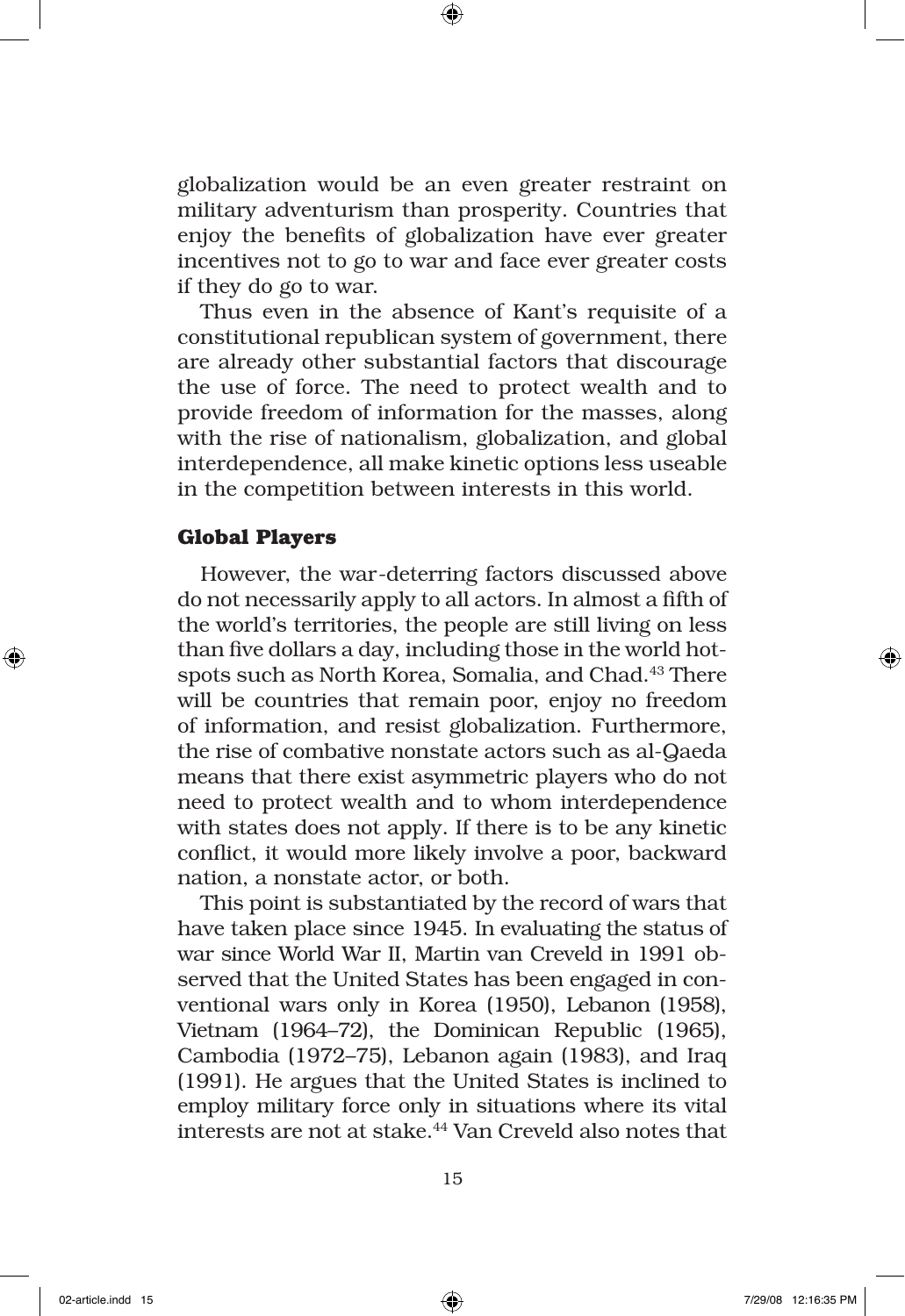globalization would be an even greater restraint on military adventurism than prosperity. Countries that enjoy the benefits of globalization have ever greater incentives not to go to war and face ever greater costs if they do go to war.

Thus even in the absence of Kant's requisite of a constitutional republican system of government, there are already other substantial factors that discourage the use of force. The need to protect wealth and to provide freedom of information for the masses, along with the rise of nationalism, globalization, and global interdependence, all make kinetic options less useable in the competition between interests in this world.

#### **Global Players**

However, the war-deterring factors discussed above do not necessarily apply to all actors. In almost a fifth of the world's territories, the people are still living on less than five dollars a day, including those in the world hotspots such as North Korea, Somalia, and Chad.<sup>43</sup> There will be countries that remain poor, enjoy no freedom of information, and resist globalization. Furthermore, the rise of combative nonstate actors such as al-Qaeda means that there exist asymmetric players who do not need to protect wealth and to whom interdependence with states does not apply. If there is to be any kinetic conflict, it would more likely involve a poor, backward nation, a nonstate actor, or both.

This point is substantiated by the record of wars that have taken place since 1945. In evaluating the status of war since World War II, Martin van Creveld in 1991 observed that the United States has been engaged in conventional wars only in Korea (1950), Lebanon (1958), Vietnam (1964–72), the Dominican Republic (1965), Cambodia (1972–75), Lebanon again (1983), and Iraq (1991). He argues that the United States is inclined to employ military force only in situations where its vital interests are not at stake.44 Van Creveld also notes that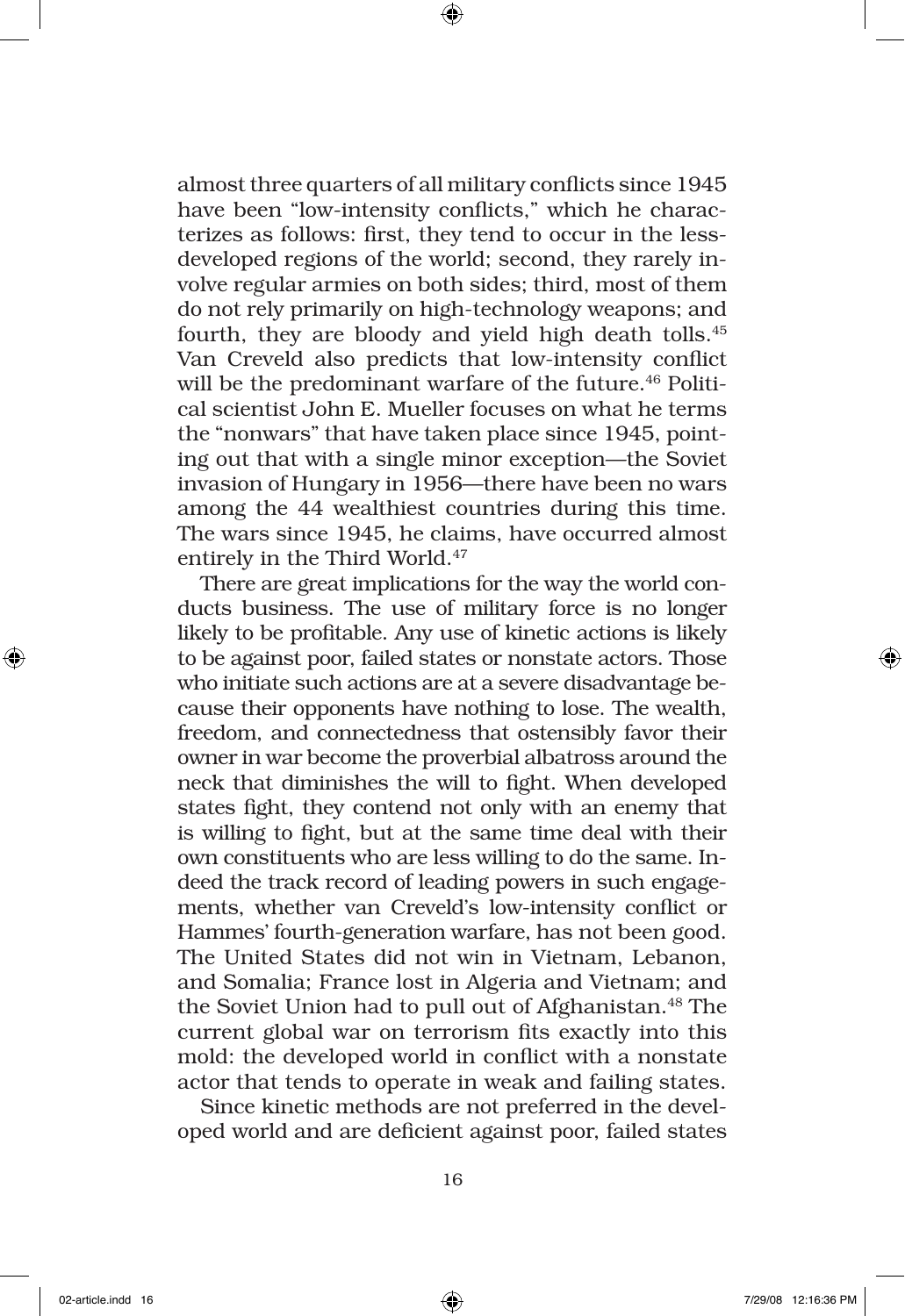almost three quarters of all military conflicts since 1945 have been "low-intensity conflicts," which he characterizes as follows: first, they tend to occur in the lessdeveloped regions of the world; second, they rarely involve regular armies on both sides; third, most of them do not rely primarily on high-technology weapons; and fourth, they are bloody and yield high death tolls.45 Van Creveld also predicts that low-intensity conflict will be the predominant warfare of the future.<sup>46</sup> Political scientist John E. Mueller focuses on what he terms the "nonwars" that have taken place since 1945, pointing out that with a single minor exception—the Soviet invasion of Hungary in 1956—there have been no wars among the 44 wealthiest countries during this time. The wars since 1945, he claims, have occurred almost entirely in the Third World.<sup>47</sup>

There are great implications for the way the world conducts business. The use of military force is no longer likely to be profitable. Any use of kinetic actions is likely to be against poor, failed states or nonstate actors. Those who initiate such actions are at a severe disadvantage because their opponents have nothing to lose. The wealth, freedom, and connectedness that ostensibly favor their owner in war become the proverbial albatross around the neck that diminishes the will to fight. When developed states fight, they contend not only with an enemy that is willing to fight, but at the same time deal with their own constituents who are less willing to do the same. Indeed the track record of leading powers in such engagements, whether van Creveld's low-intensity conflict or Hammes' fourth-generation warfare, has not been good. The United States did not win in Vietnam, Lebanon, and Somalia; France lost in Algeria and Vietnam; and the Soviet Union had to pull out of Afghanistan.<sup>48</sup> The current global war on terrorism fits exactly into this mold: the developed world in conflict with a nonstate actor that tends to operate in weak and failing states.

Since kinetic methods are not preferred in the developed world and are deficient against poor, failed states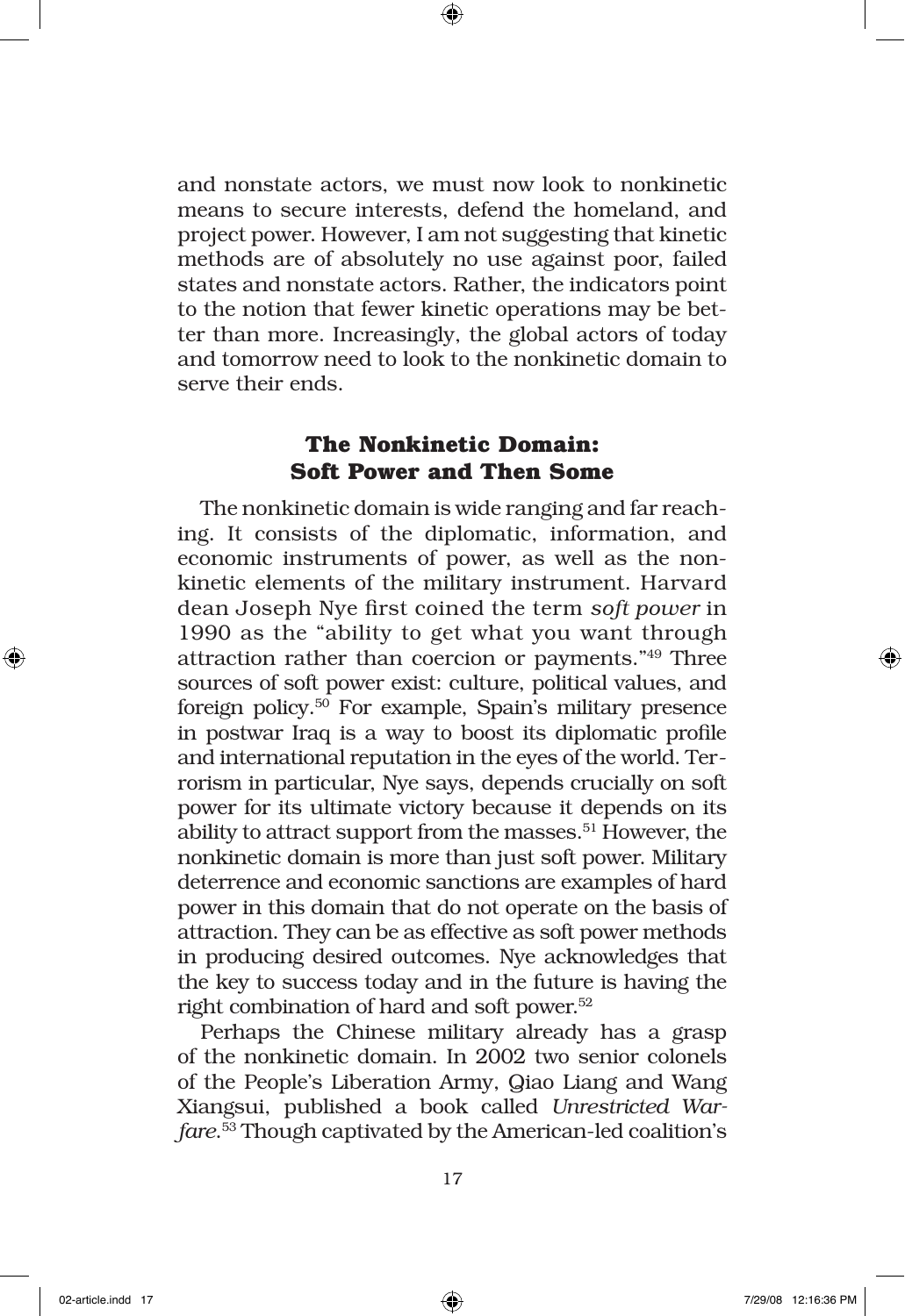and nonstate actors, we must now look to nonkinetic means to secure interests, defend the homeland, and project power. However, I am not suggesting that kinetic methods are of absolutely no use against poor, failed states and nonstate actors. Rather, the indicators point to the notion that fewer kinetic operations may be better than more. Increasingly, the global actors of today and tomorrow need to look to the nonkinetic domain to serve their ends.

# **The Nonkinetic Domain: Soft Power and Then Some**

The nonkinetic domain is wide ranging and far reaching. It consists of the diplomatic, information, and economic instruments of power, as well as the nonkinetic elements of the military instrument. Harvard dean Joseph Nye first coined the term *soft power* in 1990 as the "ability to get what you want through attraction rather than coercion or payments."49 Three sources of soft power exist: culture, political values, and foreign policy.50 For example, Spain's military presence in postwar Iraq is a way to boost its diplomatic profile and international reputation in the eyes of the world. Terrorism in particular, Nye says, depends crucially on soft power for its ultimate victory because it depends on its ability to attract support from the masses.<sup>51</sup> However, the nonkinetic domain is more than just soft power. Military deterrence and economic sanctions are examples of hard power in this domain that do not operate on the basis of attraction. They can be as effective as soft power methods in producing desired outcomes. Nye acknowledges that the key to success today and in the future is having the right combination of hard and soft power.<sup>52</sup>

Perhaps the Chinese military already has a grasp of the nonkinetic domain. In 2002 two senior colonels of the People's Liberation Army, Qiao Liang and Wang Xiangsui, published a book called *Unrestricted Warfare*. 53 Though captivated by the American-led coalition's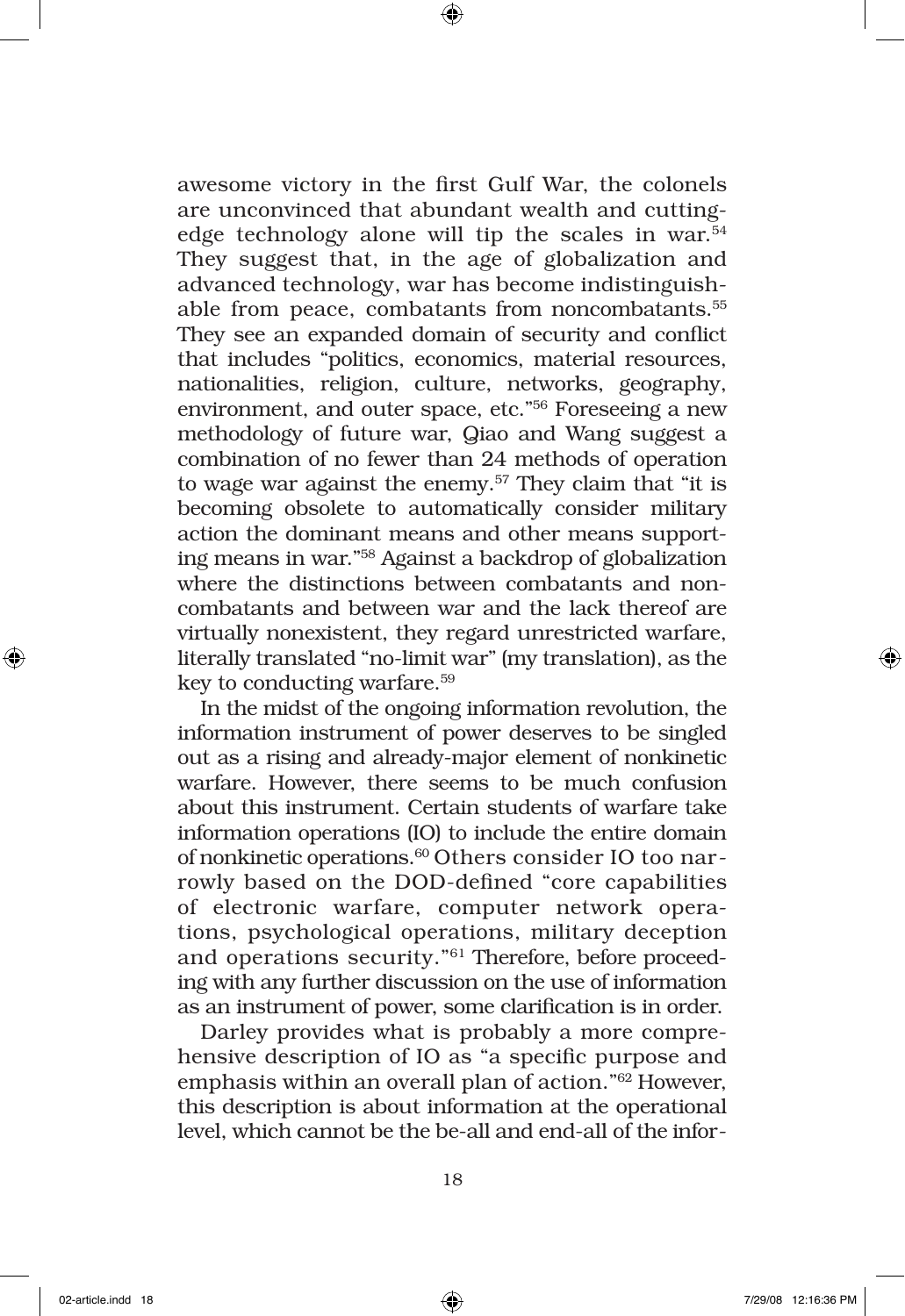awesome victory in the first Gulf War, the colonels are unconvinced that abundant wealth and cuttingedge technology alone will tip the scales in war. $54$ They suggest that, in the age of globalization and advanced technology, war has become indistinguishable from peace, combatants from noncombatants.55 They see an expanded domain of security and conflict that includes "politics, economics, material resources, nationalities, religion, culture, networks, geography, environment, and outer space, etc."56 Foreseeing a new methodology of future war, Qiao and Wang suggest a combination of no fewer than 24 methods of operation to wage war against the enemy.<sup>57</sup> They claim that "it is becoming obsolete to automatically consider military action the dominant means and other means supporting means in war."58 Against a backdrop of globalization where the distinctions between combatants and noncombatants and between war and the lack thereof are virtually nonexistent, they regard unrestricted warfare, literally translated "no-limit war" (my translation), as the key to conducting warfare.59

In the midst of the ongoing information revolution, the information instrument of power deserves to be singled out as a rising and already-major element of nonkinetic warfare. However, there seems to be much confusion about this instrument. Certain students of warfare take information operations (IO) to include the entire domain of nonkinetic operations.60 Others consider IO too narrowly based on the DOD-defined "core capabilities of electronic warfare, computer network operations, psychological operations, military deception and operations security."61 Therefore, before proceeding with any further discussion on the use of information as an instrument of power, some clarification is in order.

Darley provides what is probably a more comprehensive description of IO as "a specific purpose and emphasis within an overall plan of action."62 However, this description is about information at the operational level, which cannot be the be-all and end-all of the infor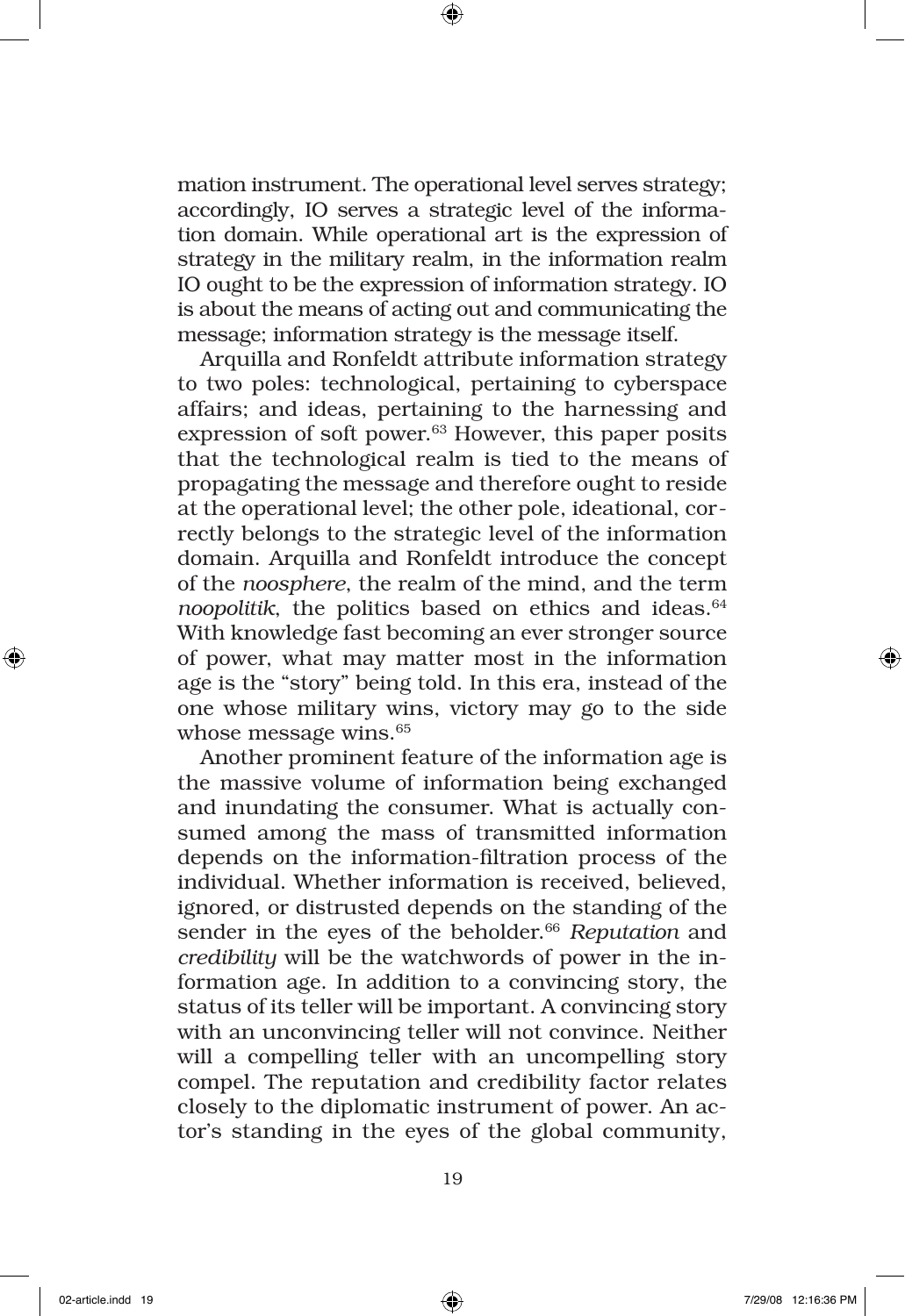mation instrument. The operational level serves strategy; accordingly, IO serves a strategic level of the information domain. While operational art is the expression of strategy in the military realm, in the information realm IO ought to be the expression of information strategy. IO is about the means of acting out and communicating the message; information strategy is the message itself.

Arquilla and Ronfeldt attribute information strategy to two poles: technological, pertaining to cyberspace affairs; and ideas, pertaining to the harnessing and expression of soft power.<sup>63</sup> However, this paper posits that the technological realm is tied to the means of propagating the message and therefore ought to reside at the operational level; the other pole, ideational, correctly belongs to the strategic level of the information domain. Arquilla and Ronfeldt introduce the concept of the *noosphere*, the realm of the mind, and the term *noopolitik*, the politics based on ethics and ideas.<sup>64</sup> With knowledge fast becoming an ever stronger source of power, what may matter most in the information age is the "story" being told. In this era, instead of the one whose military wins, victory may go to the side whose message wins.<sup>65</sup>

Another prominent feature of the information age is the massive volume of information being exchanged and inundating the consumer. What is actually consumed among the mass of transmitted information depends on the information-filtration process of the individual. Whether information is received, believed, ignored, or distrusted depends on the standing of the sender in the eyes of the beholder.<sup>66</sup> Reputation and *credibility* will be the watchwords of power in the information age. In addition to a convincing story, the status of its teller will be important. A convincing story with an unconvincing teller will not convince. Neither will a compelling teller with an uncompelling story compel. The reputation and credibility factor relates closely to the diplomatic instrument of power. An actor's standing in the eyes of the global community,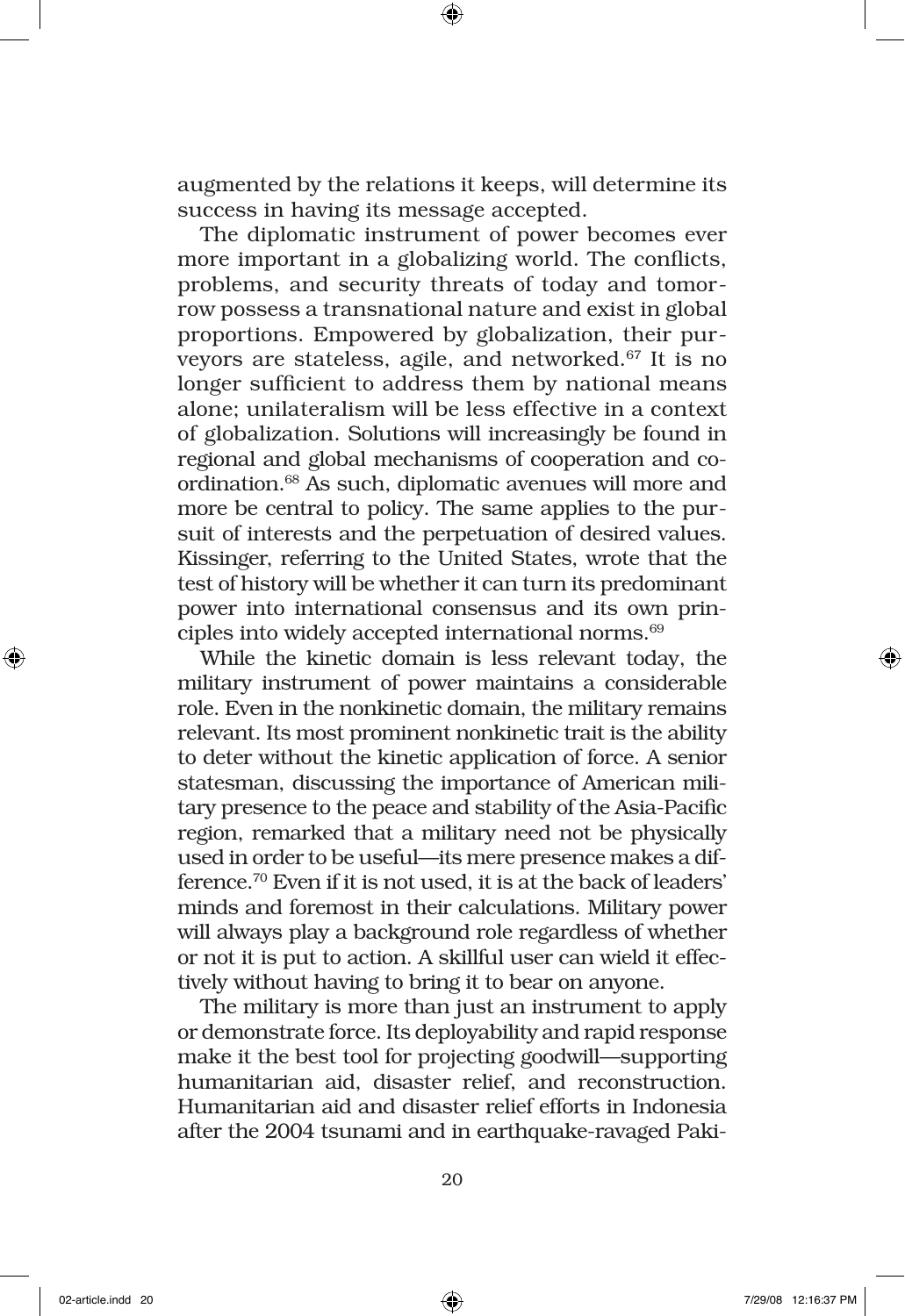augmented by the relations it keeps, will determine its success in having its message accepted.

The diplomatic instrument of power becomes ever more important in a globalizing world. The conflicts, problems, and security threats of today and tomorrow possess a transnational nature and exist in global proportions. Empowered by globalization, their purveyors are stateless, agile, and networked.67 It is no longer sufficient to address them by national means alone; unilateralism will be less effective in a context of globalization. Solutions will increasingly be found in regional and global mechanisms of cooperation and coordination.68 As such, diplomatic avenues will more and more be central to policy. The same applies to the pursuit of interests and the perpetuation of desired values. Kissinger, referring to the United States, wrote that the test of history will be whether it can turn its predominant power into international consensus and its own principles into widely accepted international norms.<sup>69</sup>

While the kinetic domain is less relevant today, the military instrument of power maintains a considerable role. Even in the nonkinetic domain, the military remains relevant. Its most prominent nonkinetic trait is the ability to deter without the kinetic application of force. A senior statesman, discussing the importance of American military presence to the peace and stability of the Asia-Pacific region, remarked that a military need not be physically used in order to be useful—its mere presence makes a difference.70 Even if it is not used, it is at the back of leaders' minds and foremost in their calculations. Military power will always play a background role regardless of whether or not it is put to action. A skillful user can wield it effectively without having to bring it to bear on anyone.

The military is more than just an instrument to apply or demonstrate force. Its deployability and rapid response make it the best tool for projecting goodwill—supporting humanitarian aid, disaster relief, and reconstruction. Humanitarian aid and disaster relief efforts in Indonesia after the 2004 tsunami and in earthquake-ravaged Paki-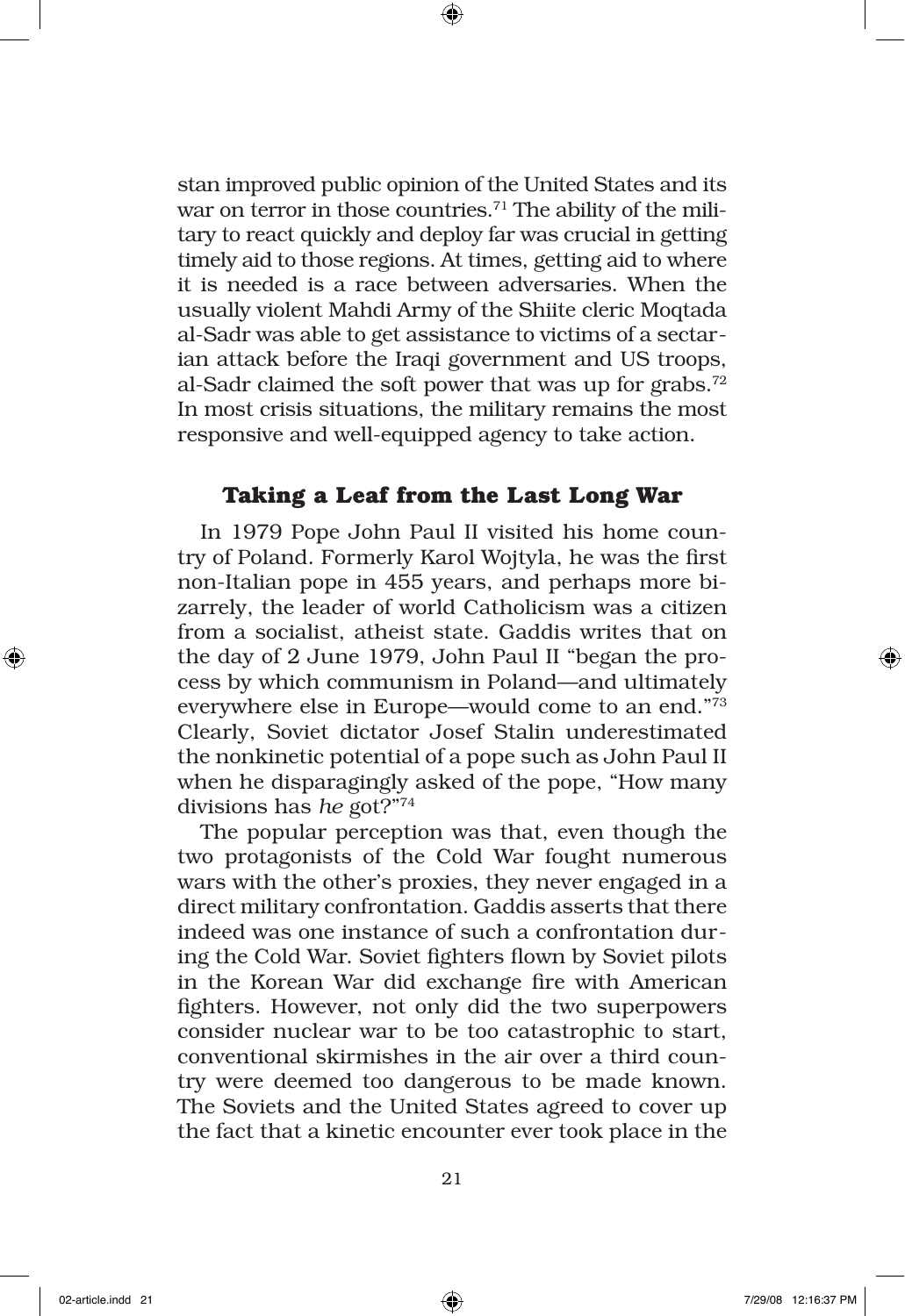stan improved public opinion of the United States and its war on terror in those countries.<sup>71</sup> The ability of the military to react quickly and deploy far was crucial in getting timely aid to those regions. At times, getting aid to where it is needed is a race between adversaries. When the usually violent Mahdi Army of the Shiite cleric Moqtada al-Sadr was able to get assistance to victims of a sectarian attack before the Iraqi government and US troops, al-Sadr claimed the soft power that was up for grabs.<sup>72</sup> In most crisis situations, the military remains the most responsive and well-equipped agency to take action.

## **Taking a Leaf from the Last Long War**

In 1979 Pope John Paul II visited his home country of Poland. Formerly Karol Wojtyla, he was the first non-Italian pope in 455 years, and perhaps more bizarrely, the leader of world Catholicism was a citizen from a socialist, atheist state. Gaddis writes that on the day of 2 June 1979, John Paul II "began the process by which communism in Poland—and ultimately everywhere else in Europe—would come to an end."73 Clearly, Soviet dictator Josef Stalin underestimated the nonkinetic potential of a pope such as John Paul II when he disparagingly asked of the pope, "How many divisions has *he* got?"74

The popular perception was that, even though the two protagonists of the Cold War fought numerous wars with the other's proxies, they never engaged in a direct military confrontation. Gaddis asserts that there indeed was one instance of such a confrontation during the Cold War. Soviet fighters flown by Soviet pilots in the Korean War did exchange fire with American fighters. However, not only did the two superpowers consider nuclear war to be too catastrophic to start, conventional skirmishes in the air over a third country were deemed too dangerous to be made known. The Soviets and the United States agreed to cover up the fact that a kinetic encounter ever took place in the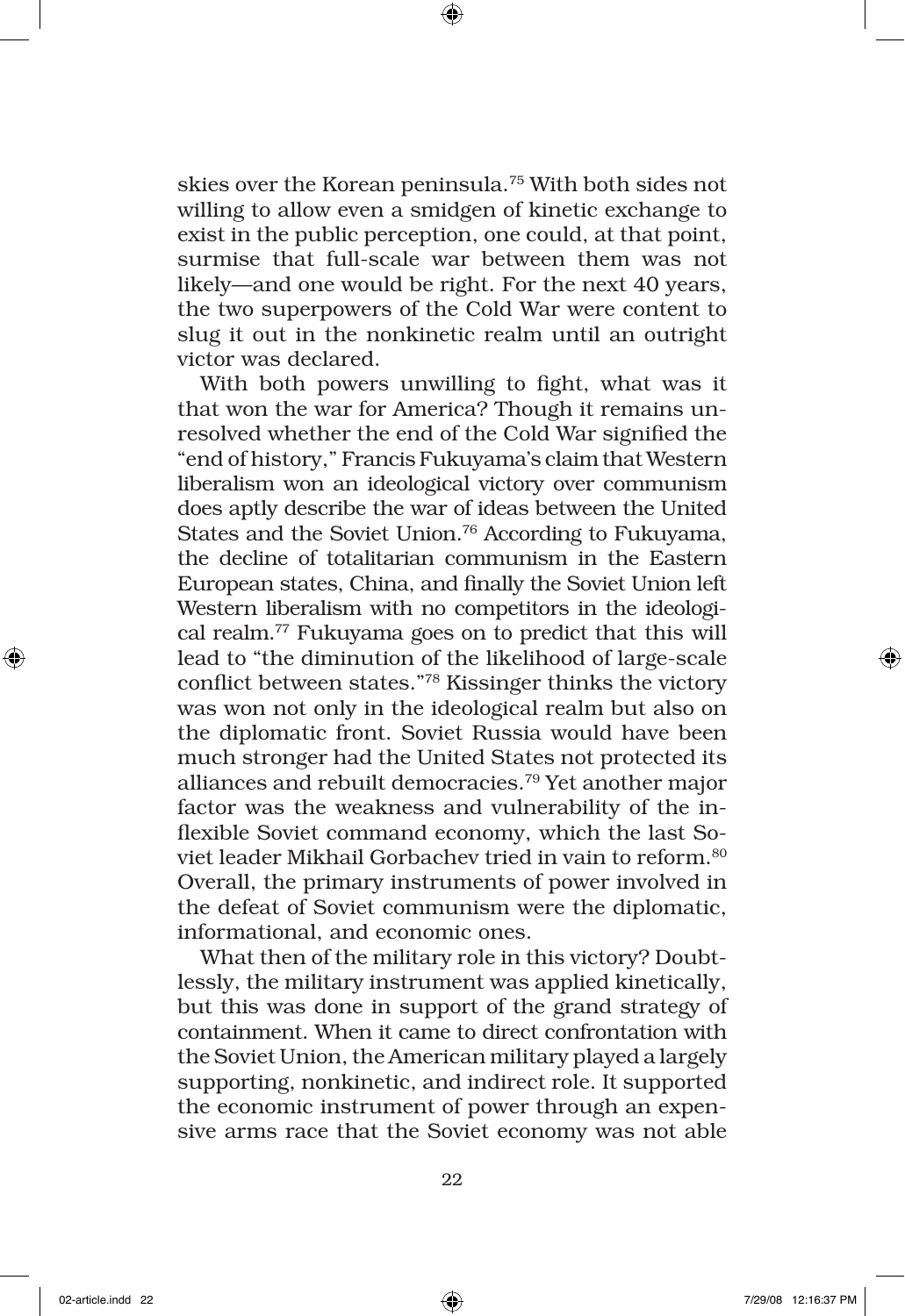skies over the Korean peninsula.75 With both sides not willing to allow even a smidgen of kinetic exchange to exist in the public perception, one could, at that point, surmise that full-scale war between them was not likely—and one would be right. For the next 40 years, the two superpowers of the Cold War were content to slug it out in the nonkinetic realm until an outright victor was declared.

With both powers unwilling to fight, what was it that won the war for America? Though it remains unresolved whether the end of the Cold War signified the "end of history," Francis Fukuyama's claim that Western liberalism won an ideological victory over communism does aptly describe the war of ideas between the United States and the Soviet Union.76 According to Fukuyama, the decline of totalitarian communism in the Eastern European states, China, and finally the Soviet Union left Western liberalism with no competitors in the ideological realm.77 Fukuyama goes on to predict that this will lead to "the diminution of the likelihood of large-scale conflict between states."78 Kissinger thinks the victory was won not only in the ideological realm but also on the diplomatic front. Soviet Russia would have been much stronger had the United States not protected its alliances and rebuilt democracies.79 Yet another major factor was the weakness and vulnerability of the inflexible Soviet command economy, which the last Soviet leader Mikhail Gorbachev tried in vain to reform.80 Overall, the primary instruments of power involved in the defeat of Soviet communism were the diplomatic, informational, and economic ones.

What then of the military role in this victory? Doubtlessly, the military instrument was applied kinetically, but this was done in support of the grand strategy of containment. When it came to direct confrontation with the Soviet Union, the American military played a largely supporting, nonkinetic, and indirect role. It supported the economic instrument of power through an expensive arms race that the Soviet economy was not able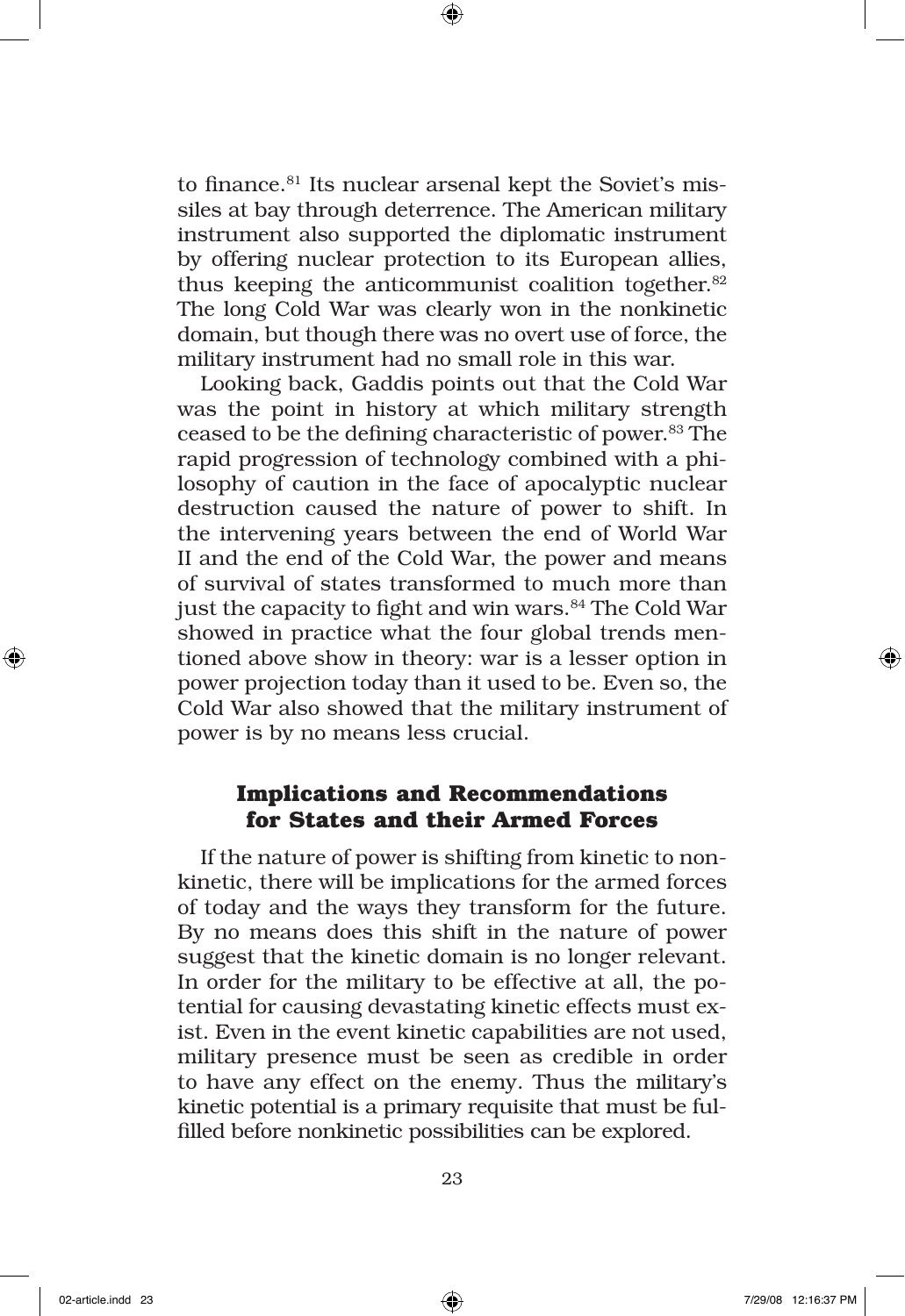to finance.<sup>81</sup> Its nuclear arsenal kept the Soviet's missiles at bay through deterrence. The American military instrument also supported the diplomatic instrument by offering nuclear protection to its European allies, thus keeping the anticommunist coalition together.<sup>82</sup> The long Cold War was clearly won in the nonkinetic domain, but though there was no overt use of force, the military instrument had no small role in this war.

Looking back, Gaddis points out that the Cold War was the point in history at which military strength ceased to be the defining characteristic of power.83 The rapid progression of technology combined with a philosophy of caution in the face of apocalyptic nuclear destruction caused the nature of power to shift. In the intervening years between the end of World War II and the end of the Cold War, the power and means of survival of states transformed to much more than just the capacity to fight and win wars.<sup>84</sup> The Cold War showed in practice what the four global trends mentioned above show in theory: war is a lesser option in power projection today than it used to be. Even so, the Cold War also showed that the military instrument of power is by no means less crucial.

# **Implications and Recommendations for States and their Armed Forces**

If the nature of power is shifting from kinetic to nonkinetic, there will be implications for the armed forces of today and the ways they transform for the future. By no means does this shift in the nature of power suggest that the kinetic domain is no longer relevant. In order for the military to be effective at all, the potential for causing devastating kinetic effects must exist. Even in the event kinetic capabilities are not used, military presence must be seen as credible in order to have any effect on the enemy. Thus the military's kinetic potential is a primary requisite that must be fulfilled before nonkinetic possibilities can be explored.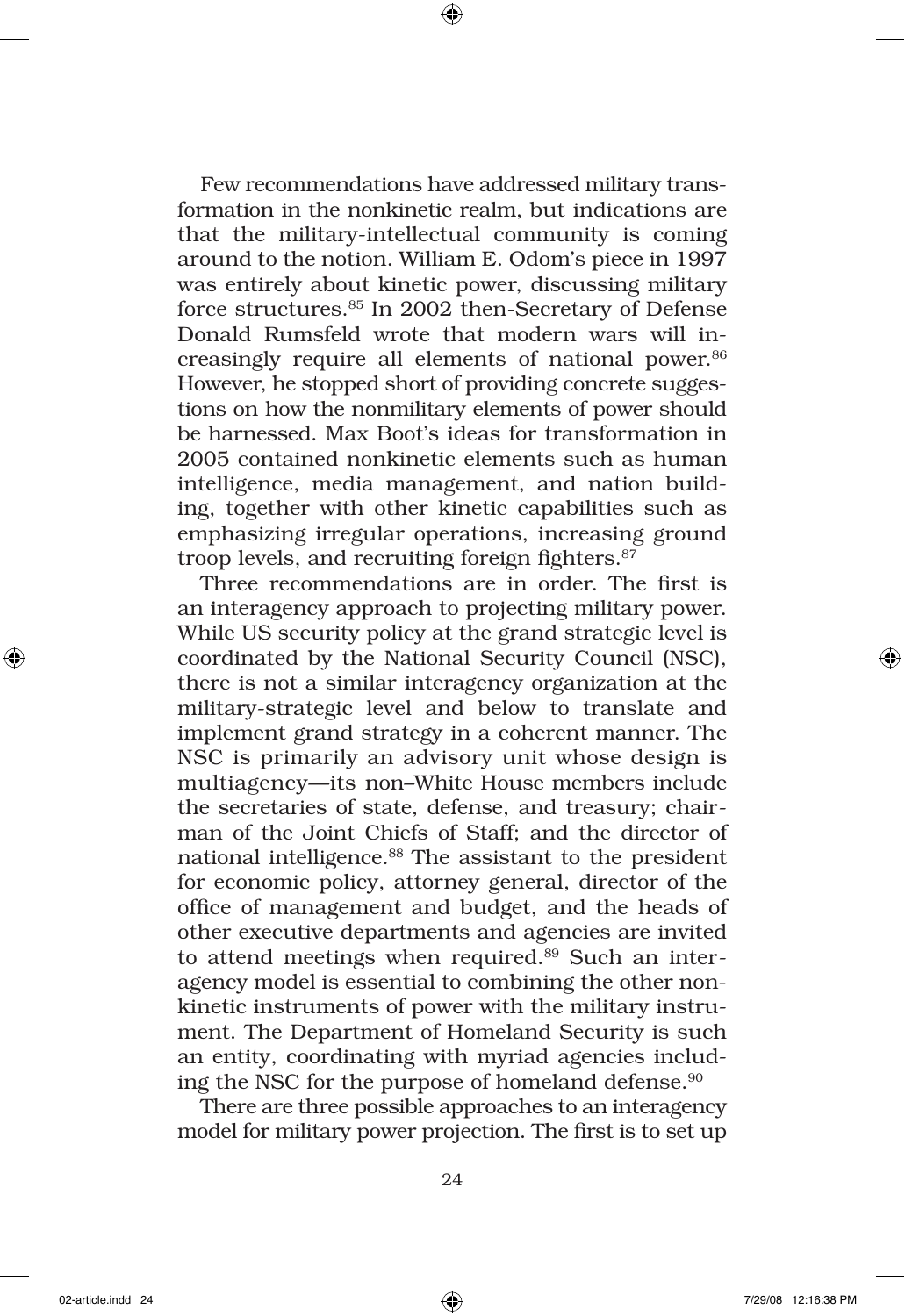Few recommendations have addressed military transformation in the nonkinetic realm, but indications are that the military-intellectual community is coming around to the notion. William E. Odom's piece in 1997 was entirely about kinetic power, discussing military force structures.85 In 2002 then-Secretary of Defense Donald Rumsfeld wrote that modern wars will increasingly require all elements of national power.<sup>86</sup> However, he stopped short of providing concrete suggestions on how the nonmilitary elements of power should be harnessed. Max Boot's ideas for transformation in 2005 contained nonkinetic elements such as human intelligence, media management, and nation building, together with other kinetic capabilities such as emphasizing irregular operations, increasing ground troop levels, and recruiting foreign fighters.<sup>87</sup>

Three recommendations are in order. The first is an interagency approach to projecting military power. While US security policy at the grand strategic level is coordinated by the National Security Council (NSC), there is not a similar interagency organization at the military-strategic level and below to translate and implement grand strategy in a coherent manner. The NSC is primarily an advisory unit whose design is multiagency—its non–White House members include the secretaries of state, defense, and treasury; chairman of the Joint Chiefs of Staff; and the director of national intelligence.<sup>88</sup> The assistant to the president for economic policy, attorney general, director of the office of management and budget, and the heads of other executive departments and agencies are invited to attend meetings when required.<sup>89</sup> Such an interagency model is essential to combining the other nonkinetic instruments of power with the military instrument. The Department of Homeland Security is such an entity, coordinating with myriad agencies including the NSC for the purpose of homeland defense.<sup>90</sup>

There are three possible approaches to an interagency model for military power projection. The first is to set up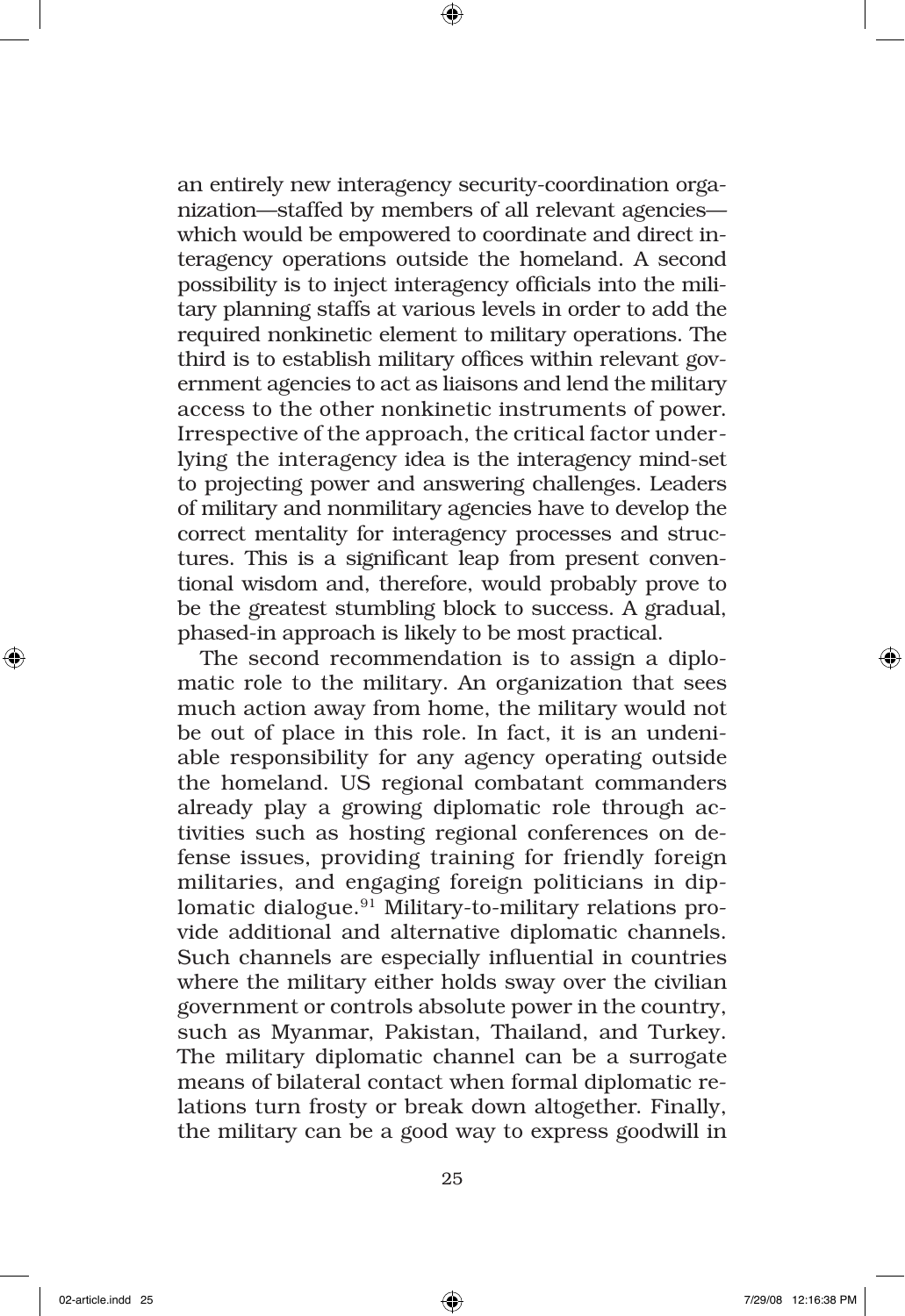an entirely new interagency security-coordination organization—staffed by members of all relevant agencies which would be empowered to coordinate and direct interagency operations outside the homeland. A second possibility is to inject interagency officials into the military planning staffs at various levels in order to add the required nonkinetic element to military operations. The third is to establish military offices within relevant government agencies to act as liaisons and lend the military access to the other nonkinetic instruments of power. Irrespective of the approach, the critical factor underlying the interagency idea is the interagency mind-set to projecting power and answering challenges. Leaders of military and nonmilitary agencies have to develop the correct mentality for interagency processes and structures. This is a significant leap from present conventional wisdom and, therefore, would probably prove to be the greatest stumbling block to success. A gradual, phased-in approach is likely to be most practical.

The second recommendation is to assign a diplomatic role to the military. An organization that sees much action away from home, the military would not be out of place in this role. In fact, it is an undeniable responsibility for any agency operating outside the homeland. US regional combatant commanders already play a growing diplomatic role through activities such as hosting regional conferences on defense issues, providing training for friendly foreign militaries, and engaging foreign politicians in diplomatic dialogue.91 Military-to-military relations provide additional and alternative diplomatic channels. Such channels are especially influential in countries where the military either holds sway over the civilian government or controls absolute power in the country, such as Myanmar, Pakistan, Thailand, and Turkey. The military diplomatic channel can be a surrogate means of bilateral contact when formal diplomatic relations turn frosty or break down altogether. Finally, the military can be a good way to express goodwill in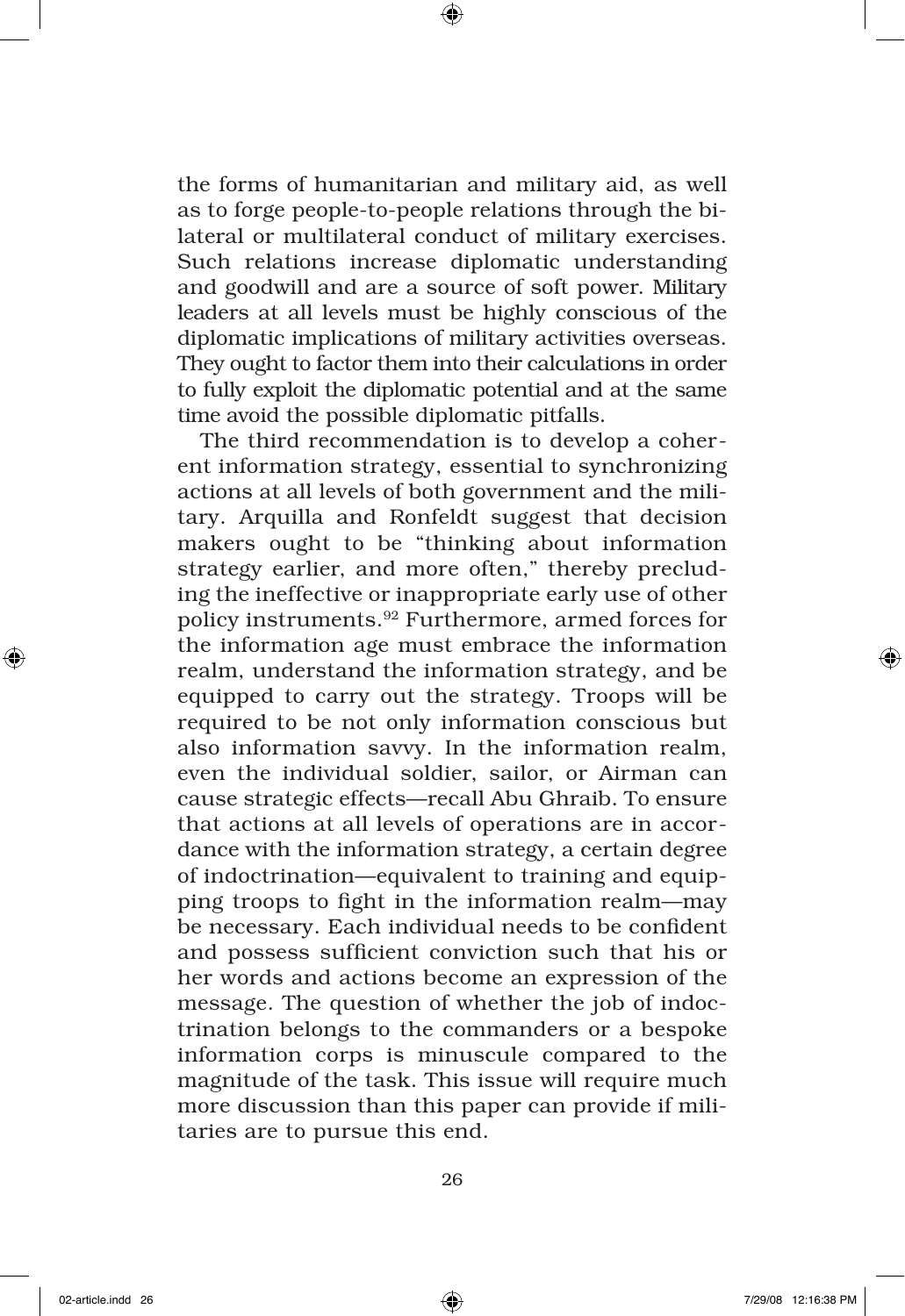the forms of humanitarian and military aid, as well as to forge people-to-people relations through the bilateral or multilateral conduct of military exercises. Such relations increase diplomatic understanding and goodwill and are a source of soft power. Military leaders at all levels must be highly conscious of the diplomatic implications of military activities overseas. They ought to factor them into their calculations in order to fully exploit the diplomatic potential and at the same time avoid the possible diplomatic pitfalls.

The third recommendation is to develop a coherent information strategy, essential to synchronizing actions at all levels of both government and the military. Arquilla and Ronfeldt suggest that decision makers ought to be "thinking about information strategy earlier, and more often," thereby precluding the ineffective or inappropriate early use of other policy instruments.92 Furthermore, armed forces for the information age must embrace the information realm, understand the information strategy, and be equipped to carry out the strategy. Troops will be required to be not only information conscious but also information savvy. In the information realm, even the individual soldier, sailor, or Airman can cause strategic effects—recall Abu Ghraib. To ensure that actions at all levels of operations are in accordance with the information strategy, a certain degree of indoctrination—equivalent to training and equipping troops to fight in the information realm—may be necessary. Each individual needs to be confident and possess sufficient conviction such that his or her words and actions become an expression of the message. The question of whether the job of indoctrination belongs to the commanders or a bespoke information corps is minuscule compared to the magnitude of the task. This issue will require much more discussion than this paper can provide if militaries are to pursue this end.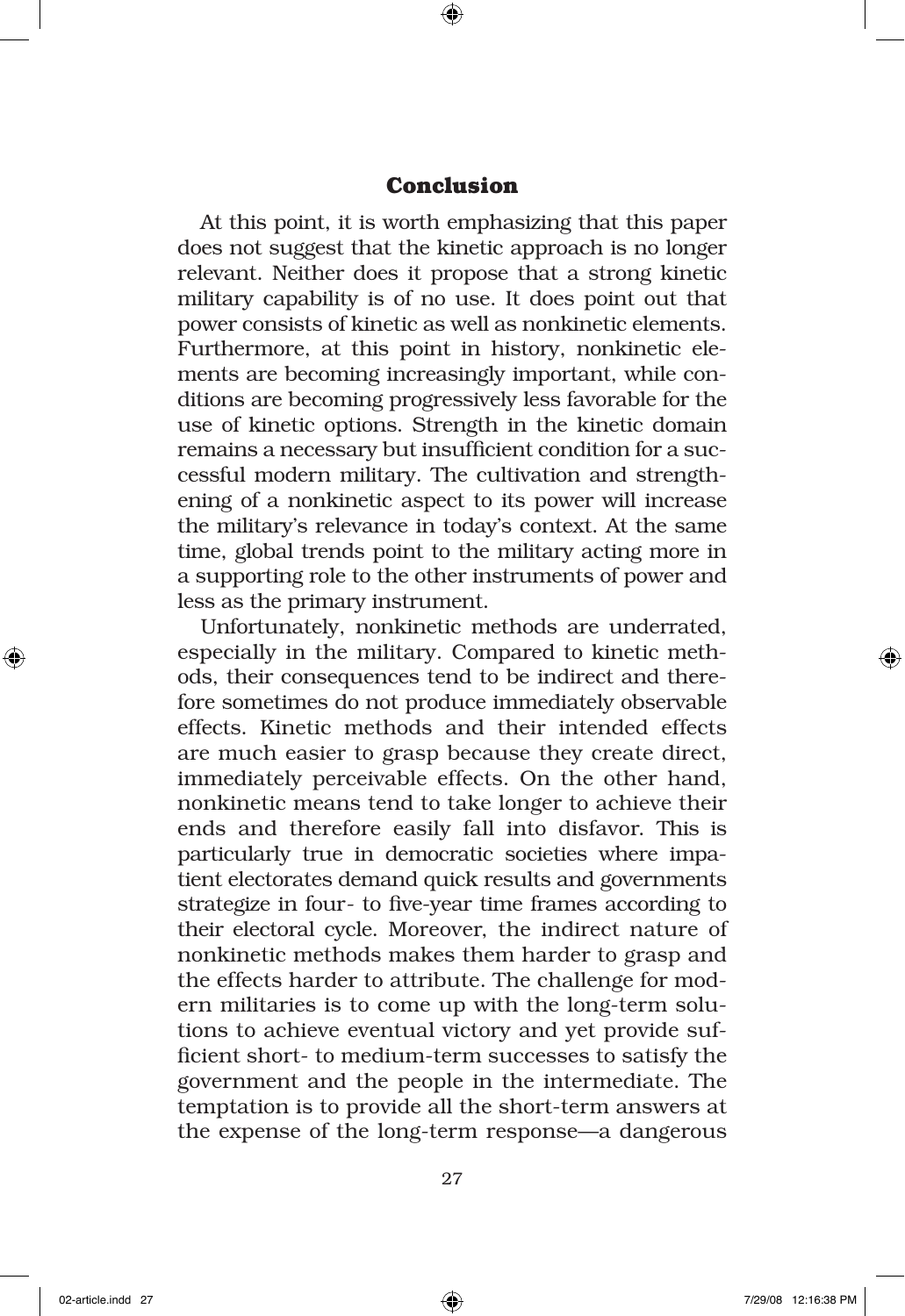## **Conclusion**

At this point, it is worth emphasizing that this paper does not suggest that the kinetic approach is no longer relevant. Neither does it propose that a strong kinetic military capability is of no use. It does point out that power consists of kinetic as well as nonkinetic elements. Furthermore, at this point in history, nonkinetic elements are becoming increasingly important, while conditions are becoming progressively less favorable for the use of kinetic options. Strength in the kinetic domain remains a necessary but insufficient condition for a successful modern military. The cultivation and strengthening of a nonkinetic aspect to its power will increase the military's relevance in today's context. At the same time, global trends point to the military acting more in a supporting role to the other instruments of power and less as the primary instrument.

Unfortunately, nonkinetic methods are underrated, especially in the military. Compared to kinetic methods, their consequences tend to be indirect and therefore sometimes do not produce immediately observable effects. Kinetic methods and their intended effects are much easier to grasp because they create direct, immediately perceivable effects. On the other hand, nonkinetic means tend to take longer to achieve their ends and therefore easily fall into disfavor. This is particularly true in democratic societies where impatient electorates demand quick results and governments strategize in four- to five-year time frames according to their electoral cycle. Moreover, the indirect nature of nonkinetic methods makes them harder to grasp and the effects harder to attribute. The challenge for modern militaries is to come up with the long-term solutions to achieve eventual victory and yet provide sufficient short- to medium-term successes to satisfy the government and the people in the intermediate. The temptation is to provide all the short-term answers at the expense of the long-term response—a dangerous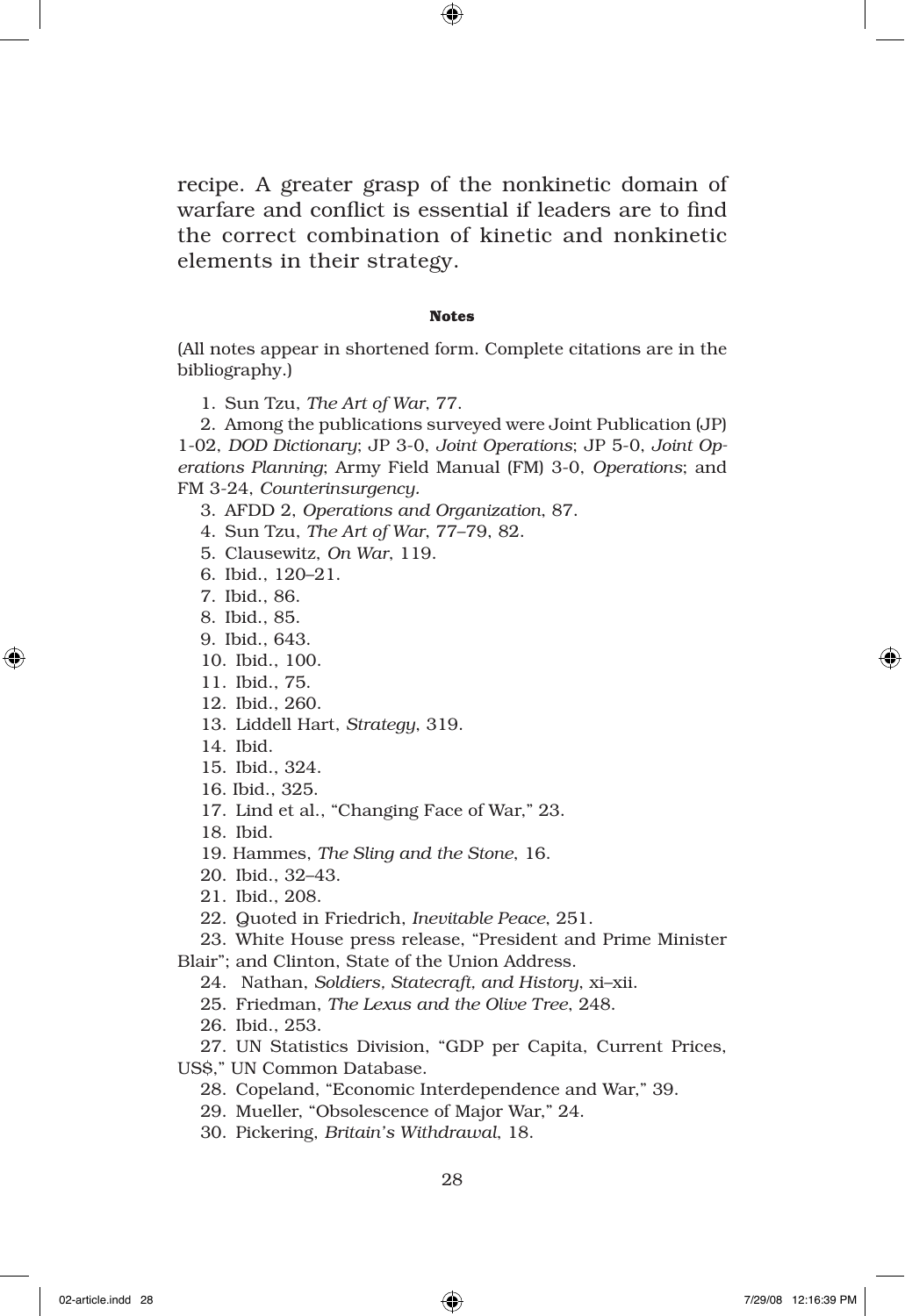recipe. A greater grasp of the nonkinetic domain of warfare and conflict is essential if leaders are to find the correct combination of kinetic and nonkinetic elements in their strategy.

#### **Notes**

(All notes appear in shortened form. Complete citations are in the bibliography.)

1. Sun Tzu, *The Art of War*, 77.

2. Among the publications surveyed were Joint Publication (JP) 1-02, *DOD Dictionary*; JP 3-0, *Joint Operations*; JP 5-0, *Joint Operations Planning*; Army Field Manual (FM) 3-0, *Operations*; and FM 3-24, *Counterinsurgency.*

3. AFDD 2, *Operations and Organization*, 87.

4. Sun Tzu, *The Art of War*, 77–79, 82.

5. Clausewitz, *On War*, 119.

6. Ibid., 120–21.

7. Ibid., 86.

8. Ibid., 85.

9. Ibid., 643.

10. Ibid., 100.

11. Ibid., 75.

12. Ibid., 260.

13. Liddell Hart, *Strategy*, 319.

14. Ibid.

15. Ibid., 324.

16. Ibid., 325.

17. Lind et al., "Changing Face of War," 23.

18. Ibid.

19. Hammes, *The Sling and the Stone*, 16.

20. Ibid., 32–43.

21. Ibid., 208.

22. Quoted in Friedrich, *Inevitable Peace*, 251.

23. White House press release, "President and Prime Minister

Blair"; and Clinton, State of the Union Address.

24. Nathan, *Soldiers, Statecraft, and History*, xi–xii.

25. Friedman, *The Lexus and the Olive Tree*, 248.

26. Ibid., 253.

27. UN Statistics Division, "GDP per Capita, Current Prices,

US\$," UN Common Database.

28. Copeland, "Economic Interdependence and War," 39.

29. Mueller, "Obsolescence of Major War," 24.

30. Pickering, *Britain's Withdrawal*, 18.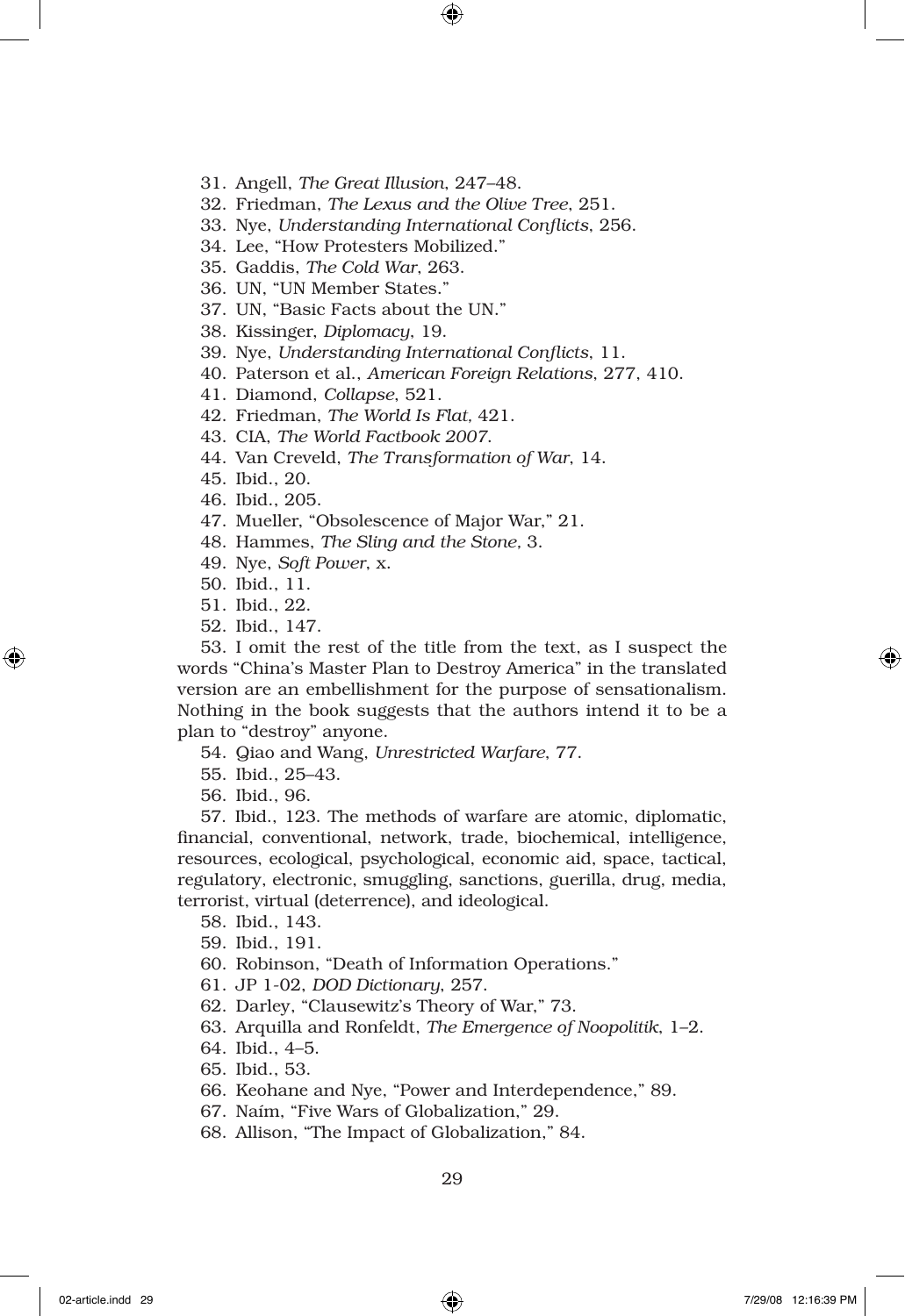- 31. Angell, *The Great Illusion*, 247–48.
- 32. Friedman, *The Lexus and the Olive Tree*, 251.
- 33. Nye, *Understanding International Conflicts*, 256.
- 34. Lee, "How Protesters Mobilized."
- 35. Gaddis, *The Cold War*, 263.
- 36. UN, "UN Member States."
- 37. UN, "Basic Facts about the UN."
- 38. Kissinger, *Diplomacy*, 19.
- 39. Nye, *Understanding International Conflicts*, 11.
- 40. Paterson et al., *American Foreign Relations*, 277, 410.
- 41. Diamond, *Collapse*, 521.
- 42. Friedman, *The World Is Flat,* 421.
- 43. CIA, *The World Factbook 2007*.
- 44. Van Creveld, *The Transformation of War*, 14.
- 45. Ibid., 20.
- 46. Ibid., 205.
- 47. Mueller, "Obsolescence of Major War," 21.
- 48. Hammes, *The Sling and the Stone,* 3.
- 49. Nye, *Soft Power*, x.
- 50. Ibid., 11.
- 51. Ibid., 22.
- 52. Ibid., 147.

53. I omit the rest of the title from the text, as I suspect the words "China's Master Plan to Destroy America" in the translated version are an embellishment for the purpose of sensationalism. Nothing in the book suggests that the authors intend it to be a plan to "destroy" anyone.

54. Qiao and Wang, *Unrestricted Warfare*, 77.

- 55. Ibid., 25–43.
- 56. Ibid., 96.

57. Ibid., 123. The methods of warfare are atomic, diplomatic, financial, conventional, network, trade, biochemical, intelligence, resources, ecological, psychological, economic aid, space, tactical, regulatory, electronic, smuggling, sanctions, guerilla, drug, media, terrorist, virtual (deterrence), and ideological.

- 58. Ibid., 143.
- 59. Ibid., 191.
- 60. Robinson, "Death of Information Operations."
- 61. JP 1-02, *DOD Dictionary*, 257.
- 62. Darley, "Clausewitz's Theory of War," 73.
- 63. Arquilla and Ronfeldt, *The Emergence of Noopolitik*, 1–2.
- 64. Ibid., 4–5.
- 65. Ibid., 53.
- 66. Keohane and Nye, "Power and Interdependence," 89.
- 67. Naím, "Five Wars of Globalization," 29.
- 68. Allison, "The Impact of Globalization," 84.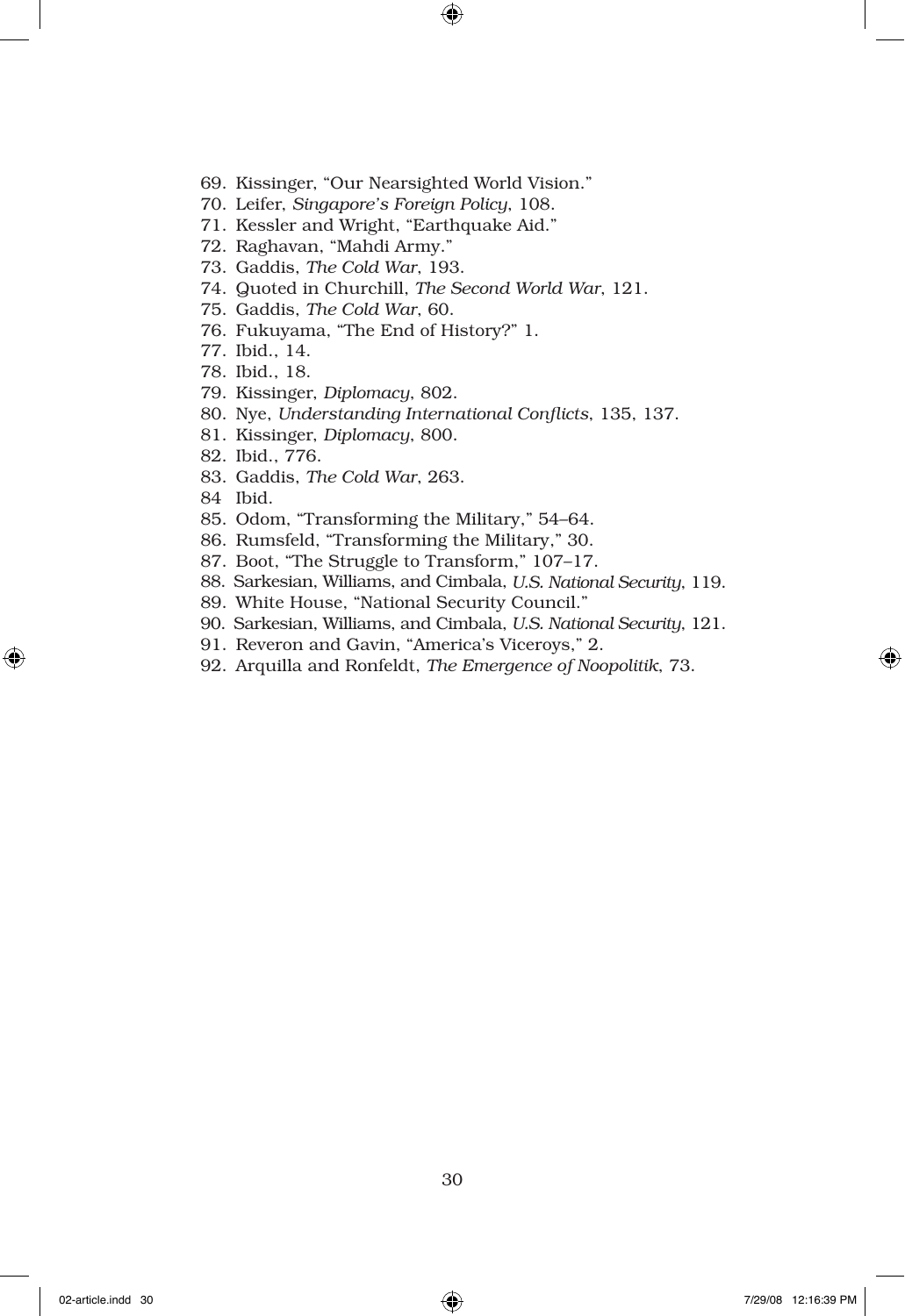- 69. Kissinger, "Our Nearsighted World Vision."
- 70. Leifer, *Singapore's Foreign Policy*, 108.
- 71. Kessler and Wright, "Earthquake Aid."
- 72. Raghavan, "Mahdi Army."
- 73. Gaddis, *The Cold War*, 193.
- 74. Quoted in Churchill, *The Second World War*, 121.
- 75. Gaddis, *The Cold War*, 60.
- 76. Fukuyama, "The End of History?" 1.
- 77. Ibid., 14.
- 78. Ibid., 18.
- 79. Kissinger, *Diplomacy*, 802.
- 80. Nye, *Understanding International Conflicts*, 135, 137.
- 81. Kissinger, *Diplomacy*, 800.
- 82. Ibid., 776.
- 83. Gaddis, *The Cold War*, 263.
- 84 Ibid.
- 85. Odom, "Transforming the Military," 54–64.
- 86. Rumsfeld, "Transforming the Military," 30.
- 87. Boot, "The Struggle to Transform," 107–17.
- 88. Sarkesian, Williams, and Cimbala, *U.S. National Security*, 119.
- 89. White House, "National Security Council."
- 90. Sarkesian, Williams, and Cimbala, *U.S. National Security*, 121.
- 91. Reveron and Gavin, "America's Viceroys," 2.
- 92. Arquilla and Ronfeldt, *The Emergence of Noopolitik*, 73.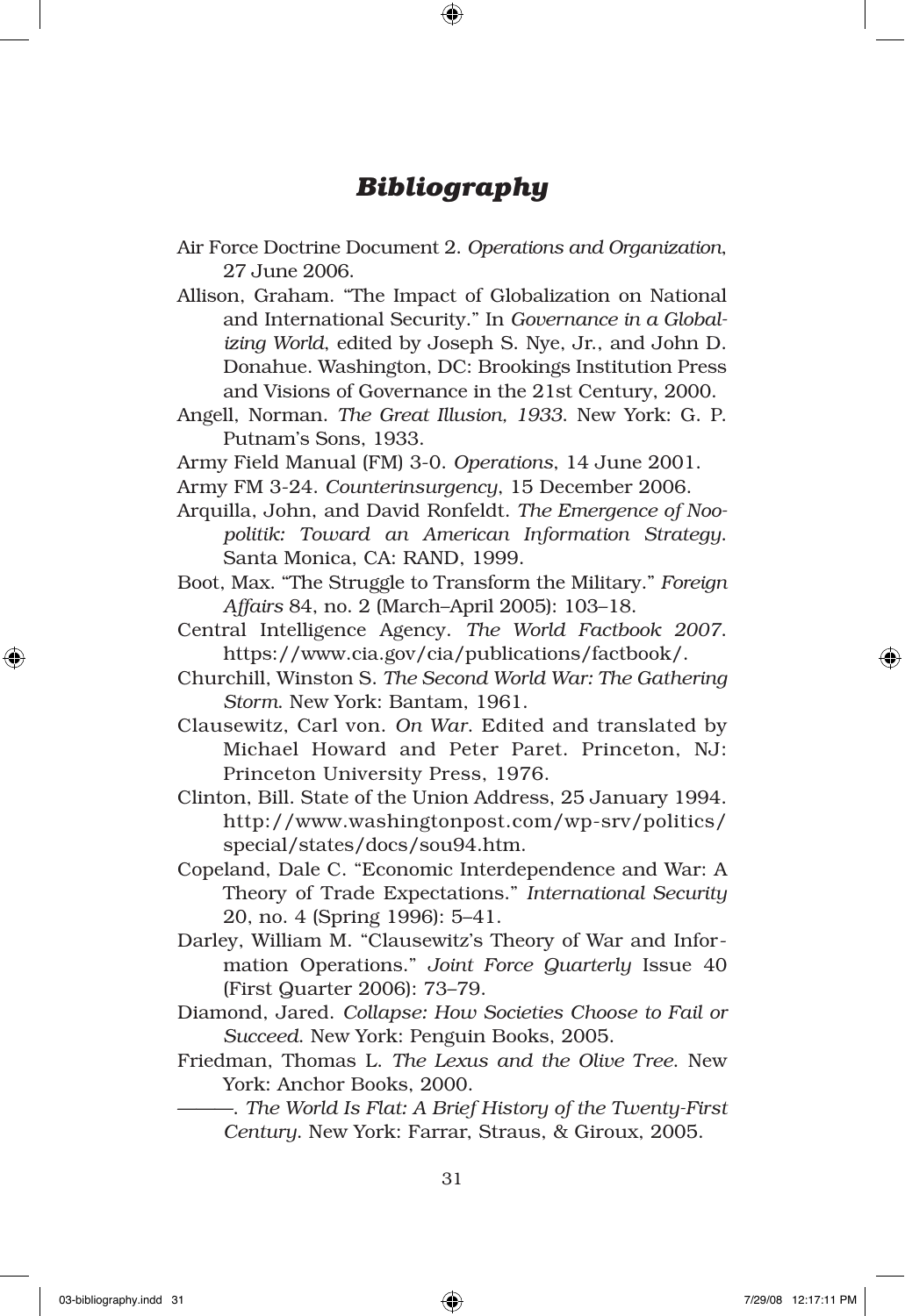# *Bibliography*

- Air Force Doctrine Document 2. *Operations and Organization*, 27 June 2006.
- Allison, Graham. "The Impact of Globalization on National and International Security." In *Governance in a Globalizing World*, edited by Joseph S. Nye, Jr., and John D. Donahue. Washington, DC: Brookings Institution Press and Visions of Governance in the 21st Century, 2000.
- Angell, Norman. *The Great Illusion, 1933*. New York: G. P. Putnam's Sons, 1933.
- Army Field Manual (FM) 3-0. *Operations*, 14 June 2001.
- Army FM 3-24. *Counterinsurgency*, 15 December 2006.
- Arquilla, John, and David Ronfeldt. *The Emergence of Noopolitik: Toward an American Information Strategy*. Santa Monica, CA: RAND, 1999.
- Boot, Max. "The Struggle to Transform the Military." *Foreign Affairs* 84, no. 2 (March–April 2005): 103–18.
- Central Intelligence Agency. *The World Factbook 2007*. https://www.cia.gov/cia/publications/factbook/.
- Churchill, Winston S. *The Second World War: The Gathering Storm*. New York: Bantam, 1961.
- Clausewitz, Carl von. *On War*. Edited and translated by Michael Howard and Peter Paret. Princeton, NJ: Princeton University Press, 1976.
- Clinton, Bill. State of the Union Address, 25 January 1994. http://www.washingtonpost.com/wp-srv/politics/ special/states/docs/sou94.htm.
- Copeland, Dale C. "Economic Interdependence and War: A Theory of Trade Expectations." *International Security* 20, no. 4 (Spring 1996): 5–41.
- Darley, William M. "Clausewitz's Theory of War and Information Operations." *Joint Force Quarterly* Issue 40 (First Quarter 2006): 73–79.
- Diamond, Jared. *Collapse: How Societies Choose to Fail or Succeed*. New York: Penguin Books, 2005.
- Friedman, Thomas L. *The Lexus and the Olive Tree*. New York: Anchor Books, 2000.
	- ———. *The World Is Flat: A Brief History of the Twenty-First Century*. New York: Farrar, Straus, & Giroux, 2005.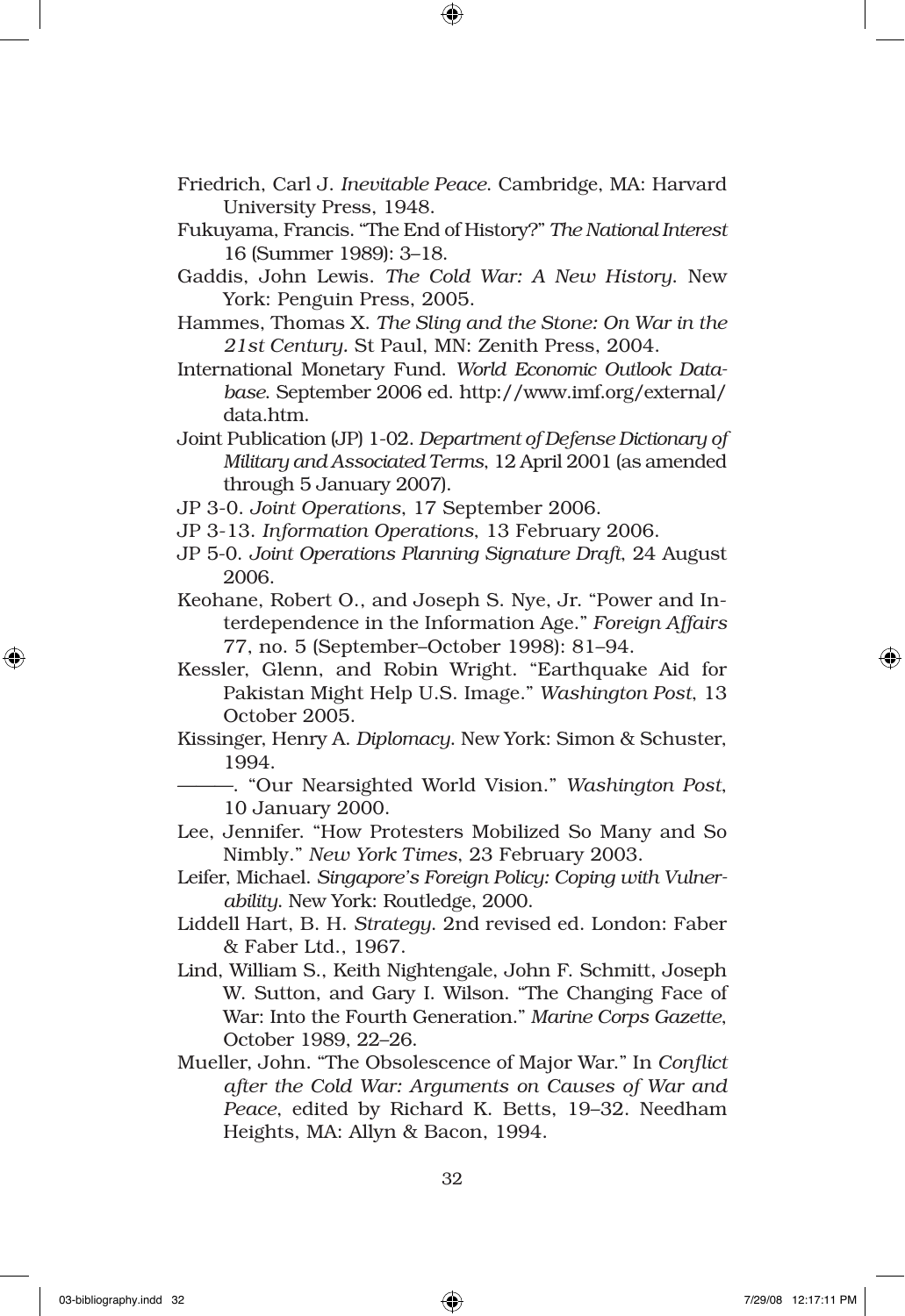- Friedrich, Carl J. *Inevitable Peace*. Cambridge, MA: Harvard University Press, 1948.
- Fukuyama, Francis. "The End of History?" *The National Interest*  16 (Summer 1989): 3–18.
- Gaddis, John Lewis. *The Cold War: A New History*. New York: Penguin Press, 2005.
- Hammes, Thomas X. *The Sling and the Stone: On War in the 21st Century.* St Paul, MN: Zenith Press, 2004.
- International Monetary Fund. *World Economic Outlook Database*. September 2006 ed. http://www.imf.org/external/ data.htm.
- Joint Publication (JP) 1-02. *Department of Defense Dictionary of Military and Associated Terms*, 12 April 2001 (as amended through 5 January 2007).
- JP 3-0. *Joint Operations*, 17 September 2006.
- JP 3-13. *Information Operations*, 13 February 2006.
- JP 5-0. *Joint Operations Planning Signature Draft*, 24 August 2006.
- Keohane, Robert O., and Joseph S. Nye, Jr. "Power and Interdependence in the Information Age." *Foreign Affairs* 77, no. 5 (September–October 1998): 81–94.
- Kessler, Glenn, and Robin Wright. "Earthquake Aid for Pakistan Might Help U.S. Image." *Washington Post*, 13 October 2005.
- Kissinger, Henry A. *Diplomacy*. New York: Simon & Schuster, 1994.

———. "Our Nearsighted World Vision." *Washington Post*, 10 January 2000.

- Lee, Jennifer. "How Protesters Mobilized So Many and So Nimbly." *New York Times*, 23 February 2003.
- Leifer, Michael. *Singapore's Foreign Policy: Coping with Vulnerability*. New York: Routledge, 2000.
- Liddell Hart, B. H. *Strategy*. 2nd revised ed. London: Faber & Faber Ltd., 1967.
- Lind, William S., Keith Nightengale, John F. Schmitt, Joseph W. Sutton, and Gary I. Wilson. "The Changing Face of War: Into the Fourth Generation." *Marine Corps Gazette*, October 1989, 22–26.
- Mueller, John. "The Obsolescence of Major War." In *Conflict after the Cold War: Arguments on Causes of War and Peace*, edited by Richard K. Betts, 19–32. Needham Heights, MA: Allyn & Bacon, 1994.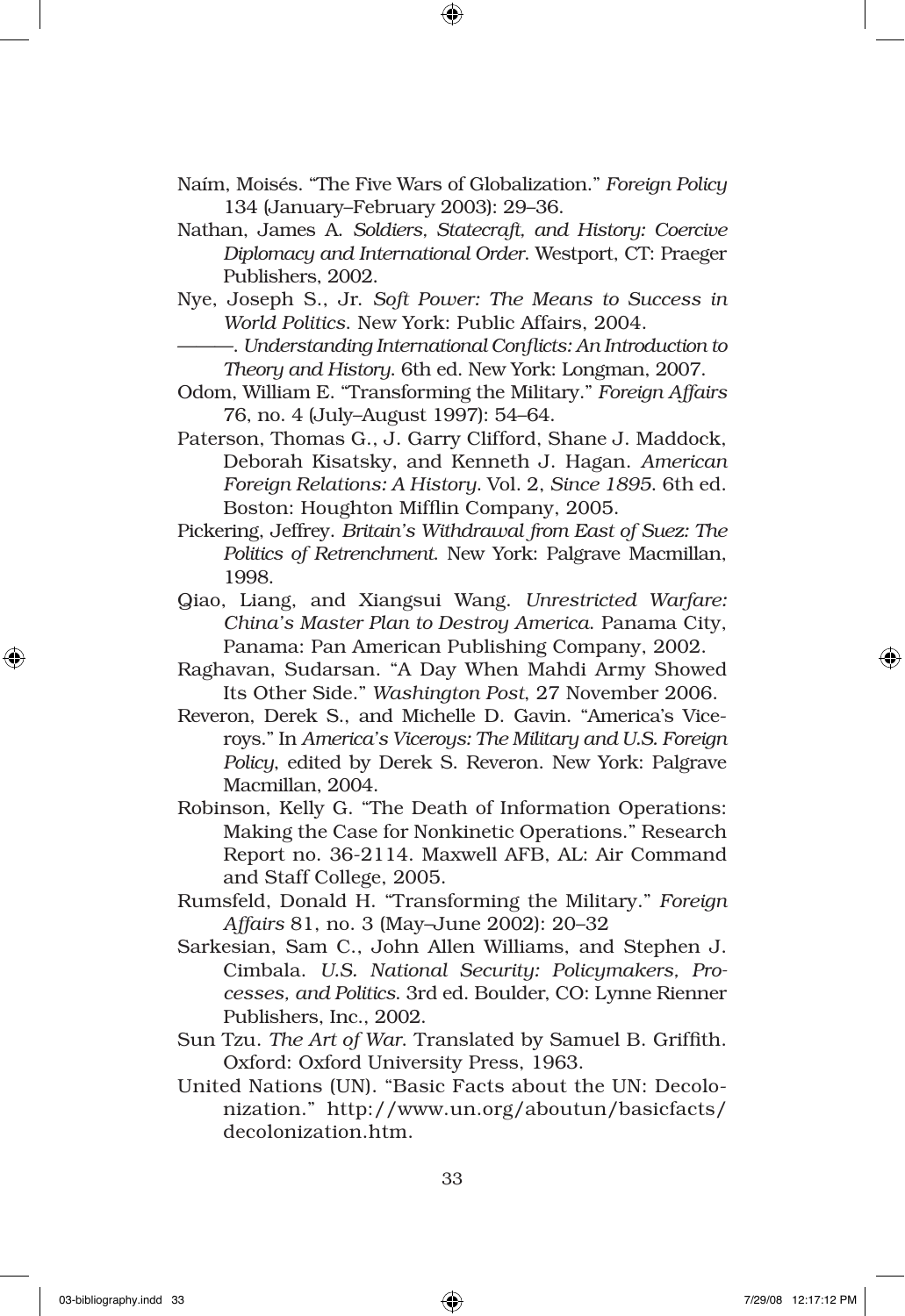- Naím, Moisés. "The Five Wars of Globalization." *Foreign Policy* 134 (January–February 2003): 29–36.
- Nathan, James A. *Soldiers, Statecraft, and History: Coercive Diplomacy and International Order*. Westport, CT: Praeger Publishers, 2002.
- Nye, Joseph S., Jr. *Soft Power: The Means to Success in World Politics*. New York: Public Affairs, 2004.
	- ———. *Understanding International Conflicts: An Introduction to Theory and History*. 6th ed. New York: Longman, 2007.
- Odom, William E. "Transforming the Military." *Foreign Affairs* 76, no. 4 (July–August 1997): 54–64.
- Paterson, Thomas G., J. Garry Clifford, Shane J. Maddock, Deborah Kisatsky, and Kenneth J. Hagan. *American Foreign Relations: A History*. Vol. 2, *Since 1895*. 6th ed. Boston: Houghton Mifflin Company, 2005.
- Pickering, Jeffrey. *Britain's Withdrawal from East of Suez: The Politics of Retrenchment*. New York: Palgrave Macmillan, 1998.
- Qiao, Liang, and Xiangsui Wang. *Unrestricted Warfare: China's Master Plan to Destroy America*. Panama City, Panama: Pan American Publishing Company, 2002.
- Raghavan, Sudarsan. "A Day When Mahdi Army Showed Its Other Side." *Washington Post*, 27 November 2006.
- Reveron, Derek S., and Michelle D. Gavin. "America's Viceroys." In *America's Viceroys: The Military and U.S. Foreign Policy*, edited by Derek S. Reveron. New York: Palgrave Macmillan, 2004.
- Robinson, Kelly G. "The Death of Information Operations: Making the Case for Nonkinetic Operations." Research Report no. 36-2114. Maxwell AFB, AL: Air Command and Staff College, 2005.
- Rumsfeld, Donald H. "Transforming the Military." *Foreign Affairs* 81, no. 3 (May–June 2002): 20–32
- Sarkesian, Sam C., John Allen Williams, and Stephen J. Cimbala. *U.S. National Security: Policymakers, Processes, and Politics*. 3rd ed. Boulder, CO: Lynne Rienner Publishers, Inc., 2002.
- Sun Tzu. *The Art of War*. Translated by Samuel B. Griffith. Oxford: Oxford University Press, 1963.
- United Nations (UN). "Basic Facts about the UN: Decolonization." http://www.un.org/aboutun/basicfacts/ decolonization.htm.